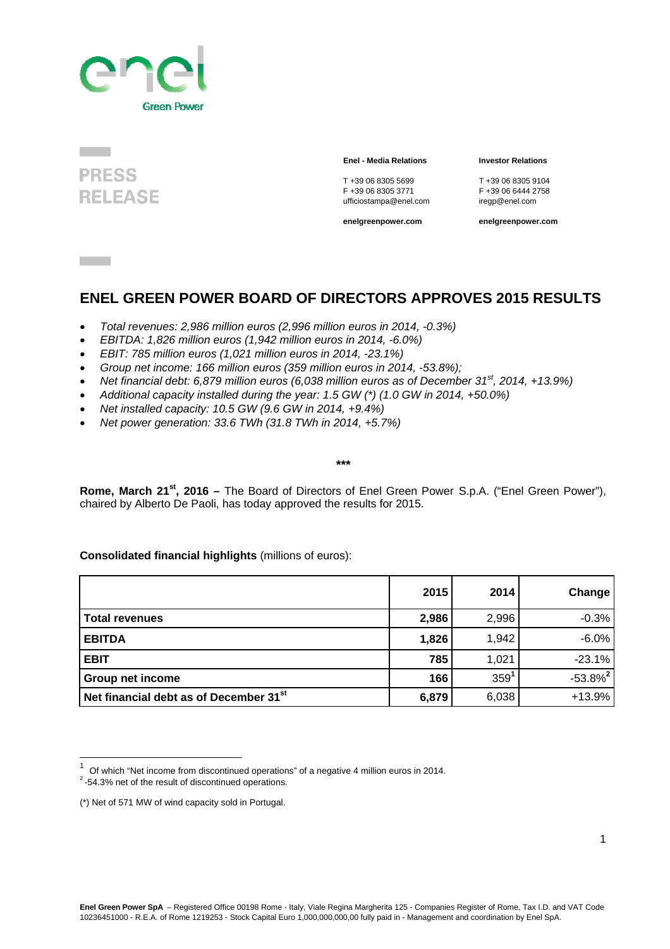



#### **Enel - Media Relations Investor Relations**

T +39 06 8305 5699 T +39 06 8305 9104 ufficiostampa@enel.com

F +39 06 6444 2758<br>iregp@enel.com

**enelgreenpower.com enelgreenpower.com**

### **ENEL GREEN POWER BOARD OF DIRECTORS APPROVES 2015 RESULTS**

- *Total revenues: 2,986 million euros (2,996 million euros in 2014, -0.3%)*
- *EBITDA: 1,826 million euros (1,942 million euros in 2014, -6.0%)*
- *EBIT: 785 million euros (1,021 million euros in 2014, -23.1%)*
- *Group net income: 166 million euros (359 million euros in 2014, -53.8%);*
- *Net financial debt: 6,879 million euros (6,038 million euros as of December 31st, 2014, +13.9%)*
- *Additional capacity installed during the year: 1.5 GW (\*) (1.0 GW in 2014, +50.0%)*
- *Net installed capacity: 10.5 GW (9.6 GW in 2014, +9.4%)*
- *Net power generation: 33.6 TWh (31.8 TWh in 2014, +5.7%)*

*\*\*\**

**Rome, March 21st, 2016 –** The Board of Directors of Enel Green Power S.p.A. ("Enel Green Power"), chaired by Alberto De Paoli, has today approved the results for 2015.

#### **Consolidated financial highlights** (millions of euros):

|                                             | 2015  | 2014             | Change       |
|---------------------------------------------|-------|------------------|--------------|
| l Total revenues                            | 2,986 | 2,996            | $-0.3%$      |
| <b>EBITDA</b>                               | 1,826 | 1,942            | $-6.0%$      |
| <b>EBIT</b>                                 | 785   | 1,021            | $-23.1%$     |
| <b>Group net income</b>                     | 166   | 359 <sup>1</sup> | $-53.8%^{2}$ |
| Net financial debt as of December $31^{st}$ | 6,879 | 6,038            | $+13.9%$     |

 

<sup>&</sup>lt;sup>1</sup> Of which "Net income from discontinued operations" of a negative 4 million euros in 2014.<br><sup>2</sup> -54.3% net of the result of discontinued operations.

<sup>(\*)</sup> Net of 571 MW of wind capacity sold in Portugal.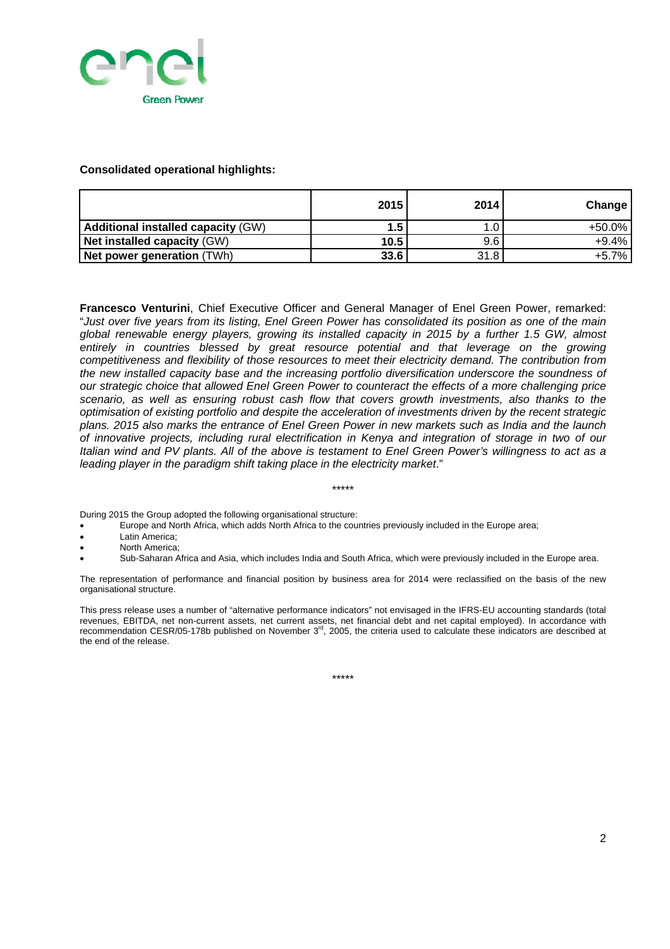

#### **Consolidated operational highlights:**

|                                           | 2015 | 2014 | <b>Change</b> |
|-------------------------------------------|------|------|---------------|
| <b>Additional installed capacity (GW)</b> | 1.5  |      | $+50.0\%$     |
| <b>Net installed capacity (GW)</b>        | 10.5 | 9.6  | $+9.4%$       |
| <b>Net power generation (TWh)</b>         | 33.6 | 31.8 | $+5.7%$       |

**Francesco Venturini**, Chief Executive Officer and General Manager of Enel Green Power, remarked: "*Just over five years from its listing, Enel Green Power has consolidated its position as one of the main global renewable energy players, growing its installed capacity in 2015 by a further 1.5 GW, almost*  entirely in countries blessed by great resource potential and that leverage on the growing *competitiveness and flexibility of those resources to meet their electricity demand. The contribution from the new installed capacity base and the increasing portfolio diversification underscore the soundness of our strategic choice that allowed Enel Green Power to counteract the effects of a more challenging price scenario, as well as ensuring robust cash flow that covers growth investments, also thanks to the optimisation of existing portfolio and despite the acceleration of investments driven by the recent strategic plans. 2015 also marks the entrance of Enel Green Power in new markets such as India and the launch of innovative projects, including rural electrification in Kenya and integration of storage in two of our Italian wind and PV plants. All of the above is testament to Enel Green Power's willingness to act as a leading player in the paradigm shift taking place in the electricity market*."

During 2015 the Group adopted the following organisational structure:

- Europe and North Africa, which adds North Africa to the countries previously included in the Europe area;
- Latin America;
- North America;
- Sub-Saharan Africa and Asia, which includes India and South Africa, which were previously included in the Europe area.

\*\*\*\*\*

The representation of performance and financial position by business area for 2014 were reclassified on the basis of the new organisational structure.

This press release uses a number of "alternative performance indicators" not envisaged in the IFRS-EU accounting standards (total revenues, EBITDA, net non-current assets, net current assets, net financial debt and net capital employed). In accordance with recommendation CESR/05-178b published on November  $3<sup>rd</sup>$ , 2005, the criteria used to calculate these indicators are described at the end of the release.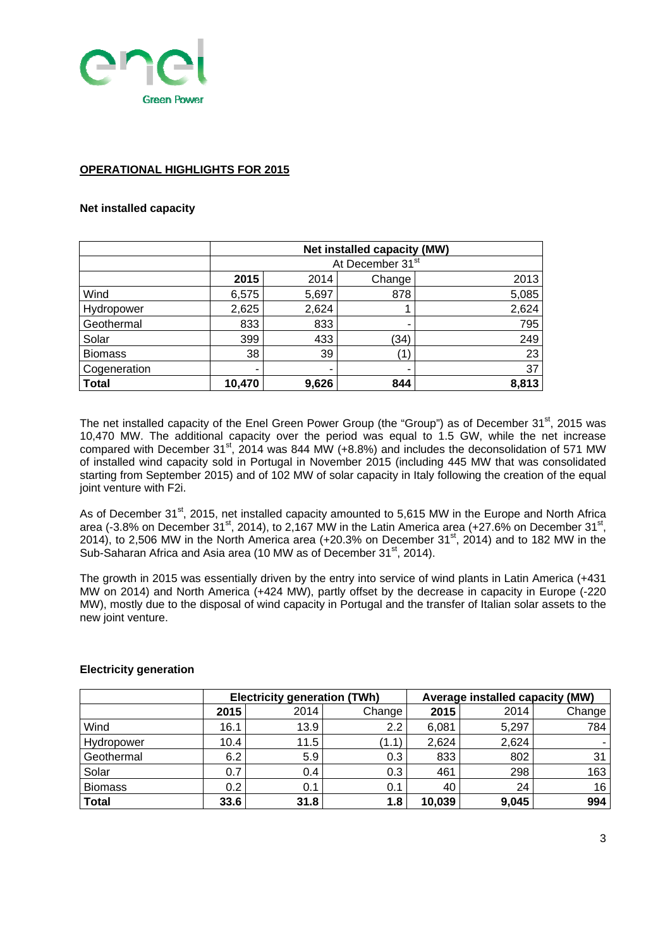

#### **OPERATIONAL HIGHLIGHTS FOR 2015**

#### **Net installed capacity**

|                | Net installed capacity (MW) |       |                              |       |  |
|----------------|-----------------------------|-------|------------------------------|-------|--|
|                |                             |       | At December 31 <sup>st</sup> |       |  |
|                | 2015                        | 2014  | Change                       | 2013  |  |
| Wind           | 6,575                       | 5,697 | 878                          | 5,085 |  |
| Hydropower     | 2,625                       | 2,624 |                              | 2,624 |  |
| Geothermal     | 833                         | 833   | -                            | 795   |  |
| Solar          | 399                         | 433   | (34)                         | 249   |  |
| <b>Biomass</b> | 38                          | 39    | $^{\prime}$ 1                | 23    |  |
| Cogeneration   | ٠                           | ٠     |                              | 37    |  |
| <b>Total</b>   | 10,470                      | 9,626 | 844                          | 8,813 |  |

The net installed capacity of the Enel Green Power Group (the "Group") as of December 31<sup>st</sup>, 2015 was 10,470 MW. The additional capacity over the period was equal to 1.5 GW, while the net increase compared with December 31st, 2014 was 844 MW (+8.8%) and includes the deconsolidation of 571 MW of installed wind capacity sold in Portugal in November 2015 (including 445 MW that was consolidated starting from September 2015) and of 102 MW of solar capacity in Italy following the creation of the equal joint venture with F2i.

As of December 31<sup>st</sup>, 2015, net installed capacity amounted to 5,615 MW in the Europe and North Africa area (-3.8% on December 31<sup>st</sup>, 2014), to 2,167 MW in the Latin America area (+27.6% on December 31<sup>st</sup>, 2014), to 2,506 MW in the North America area (+20.3% on December 31<sup>st</sup>, 2014) and to 182 MW in the Sub-Saharan Africa and Asia area (10 MW as of December 31<sup>st</sup>, 2014).

The growth in 2015 was essentially driven by the entry into service of wind plants in Latin America (+431 MW on 2014) and North America (+424 MW), partly offset by the decrease in capacity in Europe (-220 MW), mostly due to the disposal of wind capacity in Portugal and the transfer of Italian solar assets to the new joint venture.

|                |      | <b>Electricity generation (TWh)</b> |        |        | Average installed capacity (MW) |        |
|----------------|------|-------------------------------------|--------|--------|---------------------------------|--------|
|                | 2015 | 2014                                | Change | 2015   | 2014                            | Change |
| Wind           | 16.1 | 13.9                                | 2.2    | 6,081  | 5,297                           | 784    |
| Hydropower     | 10.4 | 11.5                                | (1.1)  | 2,624  | 2,624                           |        |
| Geothermal     | 6.2  | 5.9                                 | 0.3    | 833    | 802                             | 31     |
| Solar          | 0.7  | 0.4                                 | 0.3    | 461    | 298                             | 163    |
| <b>Biomass</b> | 0.2  | 0.1                                 | 0.1    | 40     | 24                              | 16     |
| <b>Total</b>   | 33.6 | 31.8                                | 1.8    | 10,039 | 9,045                           | 994    |

#### **Electricity generation**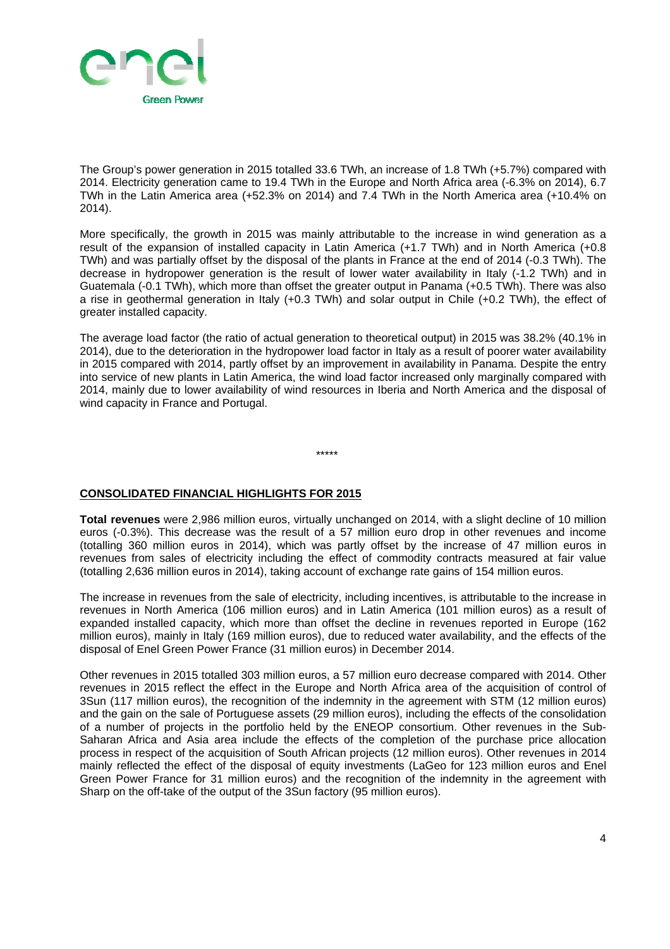

The Group's power generation in 2015 totalled 33.6 TWh, an increase of 1.8 TWh (+5.7%) compared with 2014. Electricity generation came to 19.4 TWh in the Europe and North Africa area (-6.3% on 2014), 6.7 TWh in the Latin America area (+52.3% on 2014) and 7.4 TWh in the North America area (+10.4% on 2014).

More specifically, the growth in 2015 was mainly attributable to the increase in wind generation as a result of the expansion of installed capacity in Latin America (+1.7 TWh) and in North America (+0.8 TWh) and was partially offset by the disposal of the plants in France at the end of 2014 (-0.3 TWh). The decrease in hydropower generation is the result of lower water availability in Italy (-1.2 TWh) and in Guatemala (-0.1 TWh), which more than offset the greater output in Panama (+0.5 TWh). There was also a rise in geothermal generation in Italy (+0.3 TWh) and solar output in Chile (+0.2 TWh), the effect of greater installed capacity.

The average load factor (the ratio of actual generation to theoretical output) in 2015 was 38.2% (40.1% in 2014), due to the deterioration in the hydropower load factor in Italy as a result of poorer water availability in 2015 compared with 2014, partly offset by an improvement in availability in Panama. Despite the entry into service of new plants in Latin America, the wind load factor increased only marginally compared with 2014, mainly due to lower availability of wind resources in Iberia and North America and the disposal of wind capacity in France and Portugal.

\*\*\*\*\*

#### **CONSOLIDATED FINANCIAL HIGHLIGHTS FOR 2015**

**Total revenues** were 2,986 million euros, virtually unchanged on 2014, with a slight decline of 10 million euros (-0.3%). This decrease was the result of a 57 million euro drop in other revenues and income (totalling 360 million euros in 2014), which was partly offset by the increase of 47 million euros in revenues from sales of electricity including the effect of commodity contracts measured at fair value (totalling 2,636 million euros in 2014), taking account of exchange rate gains of 154 million euros.

The increase in revenues from the sale of electricity, including incentives, is attributable to the increase in revenues in North America (106 million euros) and in Latin America (101 million euros) as a result of expanded installed capacity, which more than offset the decline in revenues reported in Europe (162 million euros), mainly in Italy (169 million euros), due to reduced water availability, and the effects of the disposal of Enel Green Power France (31 million euros) in December 2014.

Other revenues in 2015 totalled 303 million euros, a 57 million euro decrease compared with 2014. Other revenues in 2015 reflect the effect in the Europe and North Africa area of the acquisition of control of 3Sun (117 million euros), the recognition of the indemnity in the agreement with STM (12 million euros) and the gain on the sale of Portuguese assets (29 million euros), including the effects of the consolidation of a number of projects in the portfolio held by the ENEOP consortium. Other revenues in the Sub-Saharan Africa and Asia area include the effects of the completion of the purchase price allocation process in respect of the acquisition of South African projects (12 million euros). Other revenues in 2014 mainly reflected the effect of the disposal of equity investments (LaGeo for 123 million euros and Enel Green Power France for 31 million euros) and the recognition of the indemnity in the agreement with Sharp on the off-take of the output of the 3Sun factory (95 million euros).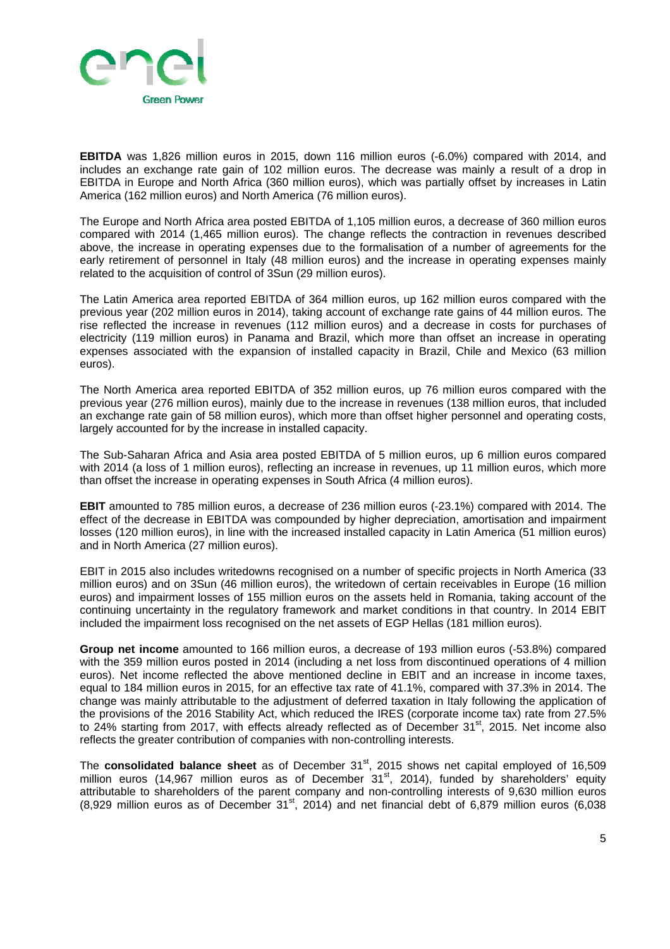

**EBITDA** was 1,826 million euros in 2015, down 116 million euros (-6.0%) compared with 2014, and includes an exchange rate gain of 102 million euros. The decrease was mainly a result of a drop in EBITDA in Europe and North Africa (360 million euros), which was partially offset by increases in Latin America (162 million euros) and North America (76 million euros).

The Europe and North Africa area posted EBITDA of 1,105 million euros, a decrease of 360 million euros compared with 2014 (1,465 million euros). The change reflects the contraction in revenues described above, the increase in operating expenses due to the formalisation of a number of agreements for the early retirement of personnel in Italy (48 million euros) and the increase in operating expenses mainly related to the acquisition of control of 3Sun (29 million euros).

The Latin America area reported EBITDA of 364 million euros, up 162 million euros compared with the previous year (202 million euros in 2014), taking account of exchange rate gains of 44 million euros. The rise reflected the increase in revenues (112 million euros) and a decrease in costs for purchases of electricity (119 million euros) in Panama and Brazil, which more than offset an increase in operating expenses associated with the expansion of installed capacity in Brazil, Chile and Mexico (63 million euros).

The North America area reported EBITDA of 352 million euros, up 76 million euros compared with the previous year (276 million euros), mainly due to the increase in revenues (138 million euros, that included an exchange rate gain of 58 million euros), which more than offset higher personnel and operating costs, largely accounted for by the increase in installed capacity.

The Sub-Saharan Africa and Asia area posted EBITDA of 5 million euros, up 6 million euros compared with 2014 (a loss of 1 million euros), reflecting an increase in revenues, up 11 million euros, which more than offset the increase in operating expenses in South Africa (4 million euros).

**EBIT** amounted to 785 million euros, a decrease of 236 million euros (-23.1%) compared with 2014. The effect of the decrease in EBITDA was compounded by higher depreciation, amortisation and impairment losses (120 million euros), in line with the increased installed capacity in Latin America (51 million euros) and in North America (27 million euros).

EBIT in 2015 also includes writedowns recognised on a number of specific projects in North America (33 million euros) and on 3Sun (46 million euros), the writedown of certain receivables in Europe (16 million euros) and impairment losses of 155 million euros on the assets held in Romania, taking account of the continuing uncertainty in the regulatory framework and market conditions in that country. In 2014 EBIT included the impairment loss recognised on the net assets of EGP Hellas (181 million euros).

**Group net income** amounted to 166 million euros, a decrease of 193 million euros (-53.8%) compared with the 359 million euros posted in 2014 (including a net loss from discontinued operations of 4 million euros). Net income reflected the above mentioned decline in EBIT and an increase in income taxes, equal to 184 million euros in 2015, for an effective tax rate of 41.1%, compared with 37.3% in 2014. The change was mainly attributable to the adjustment of deferred taxation in Italy following the application of the provisions of the 2016 Stability Act, which reduced the IRES (corporate income tax) rate from 27.5% to 24% starting from 2017, with effects already reflected as of December 31<sup>st</sup>, 2015. Net income also reflects the greater contribution of companies with non-controlling interests.

The **consolidated balance sheet** as of December 31<sup>st</sup>, 2015 shows net capital employed of 16,509 million euros (14,967 million euros as of December  $31<sup>st</sup>$ , 2014), funded by shareholders' equity attributable to shareholders of the parent company and non-controlling interests of 9,630 million euros  $(8,929$  million euros as of December 31<sup>st</sup>, 2014) and net financial debt of 6,879 million euros (6,038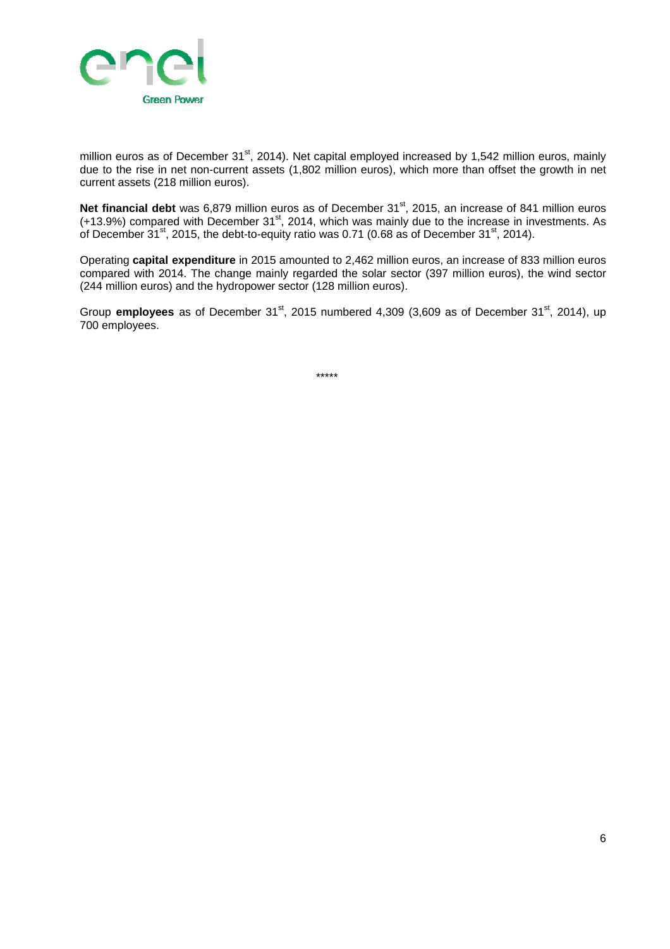

million euros as of December 31<sup>st</sup>, 2014). Net capital employed increased by 1,542 million euros, mainly due to the rise in net non-current assets (1,802 million euros), which more than offset the growth in net current assets (218 million euros).

Net financial debt was 6,879 million euros as of December 31<sup>st</sup>, 2015, an increase of 841 million euros  $(+13.9%)$  compared with December 31<sup>st</sup>, 2014, which was mainly due to the increase in investments. As of December  $31^{st}$ , 2015, the debt-to-equity ratio was 0.71 (0.68 as of December 31 $st$ , 2014).

Operating **capital expenditure** in 2015 amounted to 2,462 million euros, an increase of 833 million euros compared with 2014. The change mainly regarded the solar sector (397 million euros), the wind sector (244 million euros) and the hydropower sector (128 million euros).

Group **employees** as of December 31<sup>st</sup>, 2015 numbered 4,309 (3,609 as of December 31<sup>st</sup>, 2014), up 700 employees.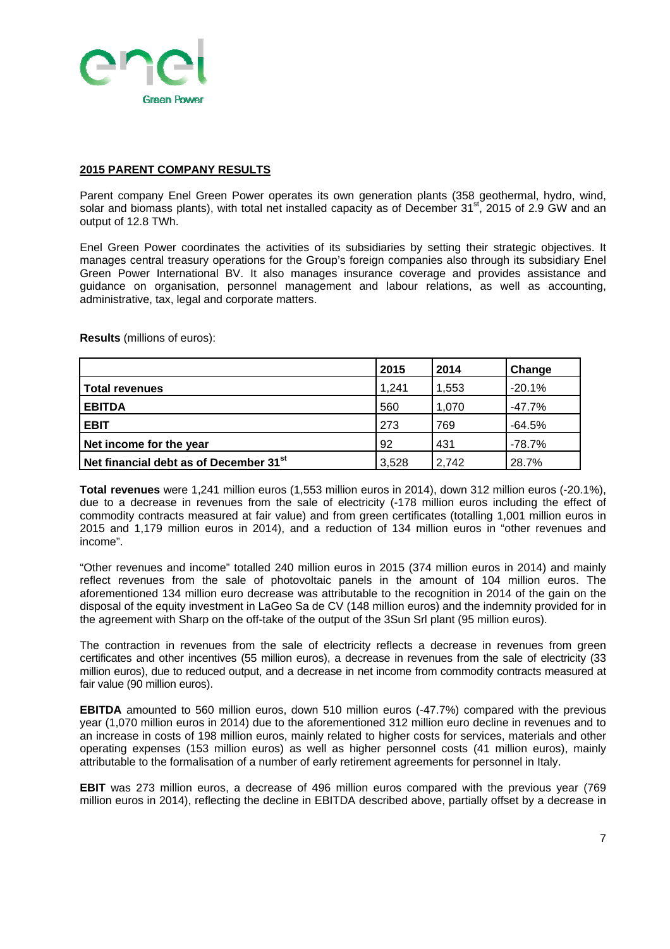

#### **2015 PARENT COMPANY RESULTS**

Parent company Enel Green Power operates its own generation plants (358 geothermal, hydro, wind, solar and biomass plants), with total net installed capacity as of December 31<sup>st</sup>, 2015 of 2.9 GW and an output of 12.8 TWh.

Enel Green Power coordinates the activities of its subsidiaries by setting their strategic objectives. It manages central treasury operations for the Group's foreign companies also through its subsidiary Enel Green Power International BV. It also manages insurance coverage and provides assistance and guidance on organisation, personnel management and labour relations, as well as accounting, administrative, tax, legal and corporate matters.

**Results** (millions of euros):

|                                                    | 2015  | 2014  | Change   |
|----------------------------------------------------|-------|-------|----------|
| <b>Total revenues</b>                              | 1,241 | 1,553 | $-20.1%$ |
| <b>EBITDA</b>                                      | 560   | 1,070 | $-47.7%$ |
| <b>EBIT</b>                                        | 273   | 769   | $-64.5%$ |
| Net income for the year                            | 92    | 431   | $-78.7%$ |
| Net financial debt as of December 31 <sup>st</sup> | 3,528 | 2.742 | 28.7%    |

**Total revenues** were 1,241 million euros (1,553 million euros in 2014), down 312 million euros (-20.1%), due to a decrease in revenues from the sale of electricity (-178 million euros including the effect of commodity contracts measured at fair value) and from green certificates (totalling 1,001 million euros in 2015 and 1,179 million euros in 2014), and a reduction of 134 million euros in "other revenues and income".

"Other revenues and income" totalled 240 million euros in 2015 (374 million euros in 2014) and mainly reflect revenues from the sale of photovoltaic panels in the amount of 104 million euros. The aforementioned 134 million euro decrease was attributable to the recognition in 2014 of the gain on the disposal of the equity investment in LaGeo Sa de CV (148 million euros) and the indemnity provided for in the agreement with Sharp on the off-take of the output of the 3Sun Srl plant (95 million euros).

The contraction in revenues from the sale of electricity reflects a decrease in revenues from green certificates and other incentives (55 million euros), a decrease in revenues from the sale of electricity (33 million euros), due to reduced output, and a decrease in net income from commodity contracts measured at fair value (90 million euros).

**EBITDA** amounted to 560 million euros, down 510 million euros (-47.7%) compared with the previous year (1,070 million euros in 2014) due to the aforementioned 312 million euro decline in revenues and to an increase in costs of 198 million euros, mainly related to higher costs for services, materials and other operating expenses (153 million euros) as well as higher personnel costs (41 million euros), mainly attributable to the formalisation of a number of early retirement agreements for personnel in Italy.

**EBIT** was 273 million euros, a decrease of 496 million euros compared with the previous year (769 million euros in 2014), reflecting the decline in EBITDA described above, partially offset by a decrease in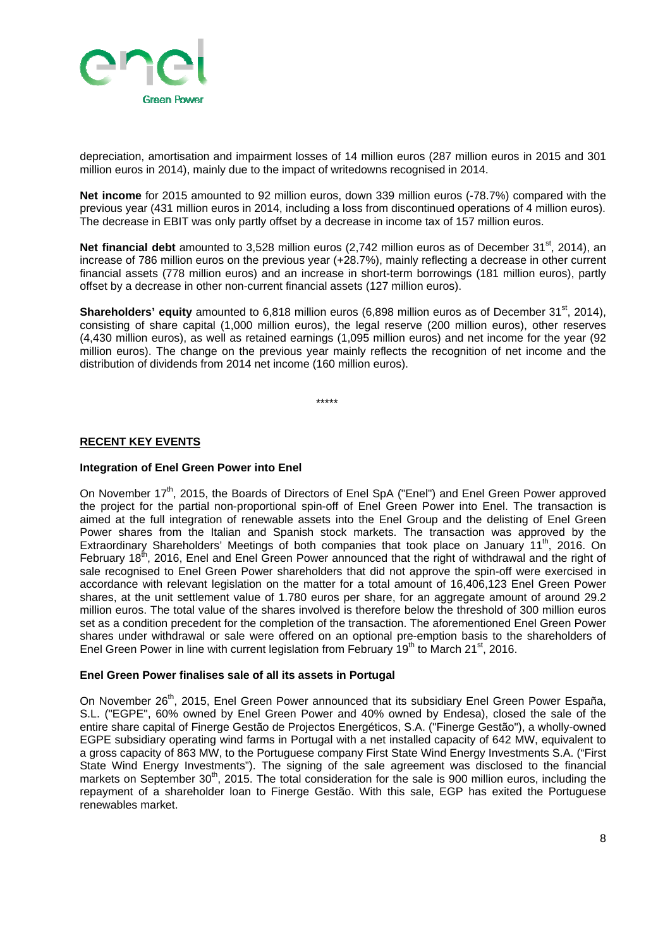

depreciation, amortisation and impairment losses of 14 million euros (287 million euros in 2015 and 301 million euros in 2014), mainly due to the impact of writedowns recognised in 2014.

**Net income** for 2015 amounted to 92 million euros, down 339 million euros (-78.7%) compared with the previous year (431 million euros in 2014, including a loss from discontinued operations of 4 million euros). The decrease in EBIT was only partly offset by a decrease in income tax of 157 million euros.

**Net financial debt** amounted to 3.528 million euros (2.742 million euros as of December 31<sup>st</sup>, 2014), an increase of 786 million euros on the previous year (+28.7%), mainly reflecting a decrease in other current financial assets (778 million euros) and an increase in short-term borrowings (181 million euros), partly offset by a decrease in other non-current financial assets (127 million euros).

**Shareholders' equity** amounted to 6,818 million euros (6,898 million euros as of December 31<sup>st</sup>, 2014), consisting of share capital (1,000 million euros), the legal reserve (200 million euros), other reserves (4,430 million euros), as well as retained earnings (1,095 million euros) and net income for the year (92 million euros). The change on the previous year mainly reflects the recognition of net income and the distribution of dividends from 2014 net income (160 million euros).

\*\*\*\*\*

#### **RECENT KEY EVENTS**

#### **Integration of Enel Green Power into Enel**

On November 17<sup>th</sup>, 2015, the Boards of Directors of Enel SpA ("Enel") and Enel Green Power approved the project for the partial non-proportional spin-off of Enel Green Power into Enel. The transaction is aimed at the full integration of renewable assets into the Enel Group and the delisting of Enel Green Power shares from the Italian and Spanish stock markets. The transaction was approved by the Extraordinary Shareholders' Meetings of both companies that took place on January 11<sup>th</sup>, 2016. On February 18<sup>th</sup>, 2016, Enel and Enel Green Power announced that the right of withdrawal and the right of sale recognised to Enel Green Power shareholders that did not approve the spin-off were exercised in accordance with relevant legislation on the matter for a total amount of 16,406,123 Enel Green Power shares, at the unit settlement value of 1.780 euros per share, for an aggregate amount of around 29.2 million euros. The total value of the shares involved is therefore below the threshold of 300 million euros set as a condition precedent for the completion of the transaction. The aforementioned Enel Green Power shares under withdrawal or sale were offered on an optional pre-emption basis to the shareholders of Enel Green Power in line with current legislation from February  $19<sup>th</sup>$  to March 21<sup>st</sup>, 2016.

#### **Enel Green Power finalises sale of all its assets in Portugal**

On November 26<sup>th</sup>, 2015, Enel Green Power announced that its subsidiary Enel Green Power España, S.L. ("EGPE", 60% owned by Enel Green Power and 40% owned by Endesa), closed the sale of the entire share capital of Finerge Gestão de Projectos Energéticos, S.A. ("Finerge Gestão"), a wholly-owned EGPE subsidiary operating wind farms in Portugal with a net installed capacity of 642 MW, equivalent to a gross capacity of 863 MW, to the Portuguese company First State Wind Energy Investments S.A. ("First State Wind Energy Investments"). The signing of the sale agreement was disclosed to the financial markets on September 30<sup>th</sup>, 2015. The total consideration for the sale is 900 million euros, including the repayment of a shareholder loan to Finerge Gestão. With this sale, EGP has exited the Portuguese renewables market.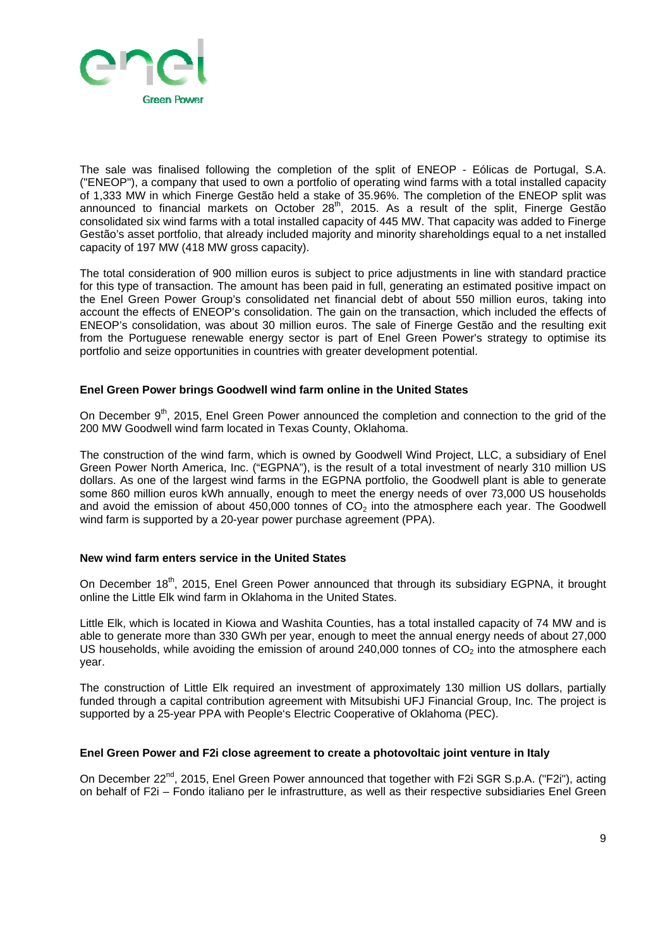

The sale was finalised following the completion of the split of ENEOP - Eólicas de Portugal, S.A. ("ENEOP"), a company that used to own a portfolio of operating wind farms with a total installed capacity of 1,333 MW in which Finerge Gestão held a stake of 35.96%. The completion of the ENEOP split was announced to financial markets on October 28<sup>th</sup>, 2015. As a result of the split, Finerge Gestão consolidated six wind farms with a total installed capacity of 445 MW. That capacity was added to Finerge Gestão's asset portfolio, that already included majority and minority shareholdings equal to a net installed capacity of 197 MW (418 MW gross capacity).

The total consideration of 900 million euros is subject to price adjustments in line with standard practice for this type of transaction. The amount has been paid in full, generating an estimated positive impact on the Enel Green Power Group's consolidated net financial debt of about 550 million euros, taking into account the effects of ENEOP's consolidation. The gain on the transaction, which included the effects of ENEOP's consolidation, was about 30 million euros. The sale of Finerge Gestão and the resulting exit from the Portuguese renewable energy sector is part of Enel Green Power's strategy to optimise its portfolio and seize opportunities in countries with greater development potential.

#### **Enel Green Power brings Goodwell wind farm online in the United States**

On December 9<sup>th</sup>, 2015, Enel Green Power announced the completion and connection to the grid of the 200 MW Goodwell wind farm located in Texas County, Oklahoma.

The construction of the wind farm, which is owned by Goodwell Wind Project, LLC, a subsidiary of Enel Green Power North America, Inc. ("EGPNA"), is the result of a total investment of nearly 310 million US dollars. As one of the largest wind farms in the EGPNA portfolio, the Goodwell plant is able to generate some 860 million euros kWh annually, enough to meet the energy needs of over 73,000 US households and avoid the emission of about 450,000 tonnes of  $CO<sub>2</sub>$  into the atmosphere each year. The Goodwell wind farm is supported by a 20-year power purchase agreement (PPA).

#### **New wind farm enters service in the United States**

On December 18<sup>th</sup>, 2015, Enel Green Power announced that through its subsidiary EGPNA, it brought online the Little Elk wind farm in Oklahoma in the United States.

Little Elk, which is located in Kiowa and Washita Counties, has a total installed capacity of 74 MW and is able to generate more than 330 GWh per year, enough to meet the annual energy needs of about 27,000 US households, while avoiding the emission of around 240,000 tonnes of  $CO<sub>2</sub>$  into the atmosphere each year.

The construction of Little Elk required an investment of approximately 130 million US dollars, partially funded through a capital contribution agreement with Mitsubishi UFJ Financial Group, Inc. The project is supported by a 25-year PPA with People's Electric Cooperative of Oklahoma (PEC).

#### **Enel Green Power and F2i close agreement to create a photovoltaic joint venture in Italy**

On December 22<sup>nd</sup>, 2015, Enel Green Power announced that together with F2i SGR S.p.A. ("F2i"), acting on behalf of F2i – Fondo italiano per le infrastrutture, as well as their respective subsidiaries Enel Green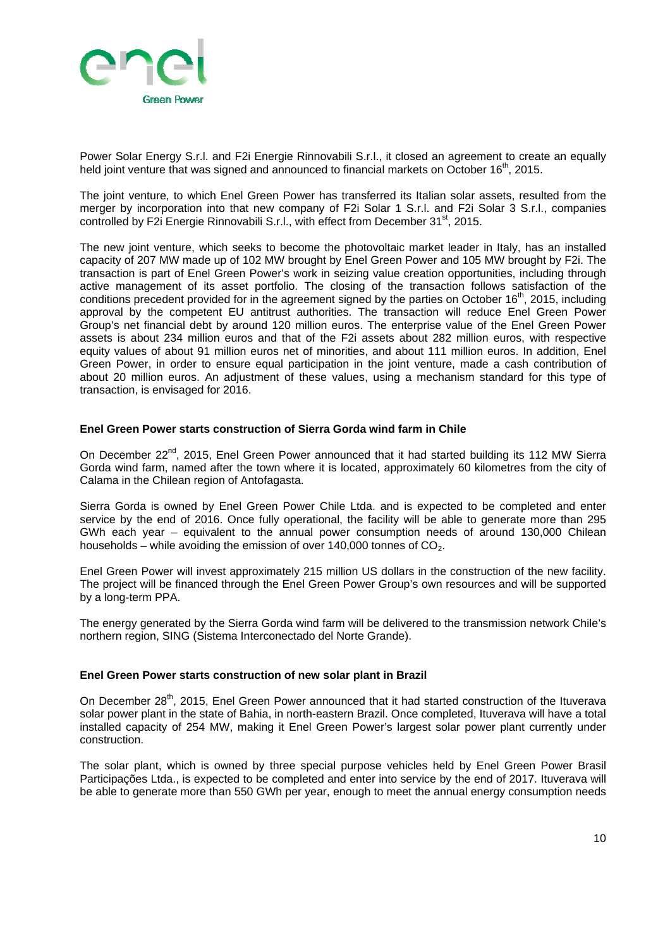

Power Solar Energy S.r.l. and F2i Energie Rinnovabili S.r.l., it closed an agreement to create an equally held joint venture that was signed and announced to financial markets on October 16<sup>th</sup>, 2015.

The joint venture, to which Enel Green Power has transferred its Italian solar assets, resulted from the merger by incorporation into that new company of F2i Solar 1 S.r.l. and F2i Solar 3 S.r.l., companies controlled by F2i Energie Rinnovabili S.r.l., with effect from December 31<sup>st</sup>, 2015.

The new joint venture, which seeks to become the photovoltaic market leader in Italy, has an installed capacity of 207 MW made up of 102 MW brought by Enel Green Power and 105 MW brought by F2i. The transaction is part of Enel Green Power's work in seizing value creation opportunities, including through active management of its asset portfolio. The closing of the transaction follows satisfaction of the conditions precedent provided for in the agreement signed by the parties on October 16<sup>th</sup>, 2015, including approval by the competent EU antitrust authorities. The transaction will reduce Enel Green Power Group's net financial debt by around 120 million euros. The enterprise value of the Enel Green Power assets is about 234 million euros and that of the F2i assets about 282 million euros, with respective equity values of about 91 million euros net of minorities, and about 111 million euros. In addition, Enel Green Power, in order to ensure equal participation in the joint venture, made a cash contribution of about 20 million euros. An adjustment of these values, using a mechanism standard for this type of transaction, is envisaged for 2016.

#### **Enel Green Power starts construction of Sierra Gorda wind farm in Chile**

On December 22<sup>nd</sup>, 2015, Enel Green Power announced that it had started building its 112 MW Sierra Gorda wind farm, named after the town where it is located, approximately 60 kilometres from the city of Calama in the Chilean region of Antofagasta.

Sierra Gorda is owned by Enel Green Power Chile Ltda. and is expected to be completed and enter service by the end of 2016. Once fully operational, the facility will be able to generate more than 295 GWh each year – equivalent to the annual power consumption needs of around 130,000 Chilean households – while avoiding the emission of over  $140,000$  tonnes of  $CO<sub>2</sub>$ .

Enel Green Power will invest approximately 215 million US dollars in the construction of the new facility. The project will be financed through the Enel Green Power Group's own resources and will be supported by a long-term PPA.

The energy generated by the Sierra Gorda wind farm will be delivered to the transmission network Chile's northern region, SING (Sistema Interconectado del Norte Grande).

#### **Enel Green Power starts construction of new solar plant in Brazil**

On December  $28^{th}$ , 2015, Enel Green Power announced that it had started construction of the Ituverava solar power plant in the state of Bahia, in north-eastern Brazil. Once completed, Ituverava will have a total installed capacity of 254 MW, making it Enel Green Power's largest solar power plant currently under construction.

The solar plant, which is owned by three special purpose vehicles held by Enel Green Power Brasil Participações Ltda., is expected to be completed and enter into service by the end of 2017. Ituverava will be able to generate more than 550 GWh per year, enough to meet the annual energy consumption needs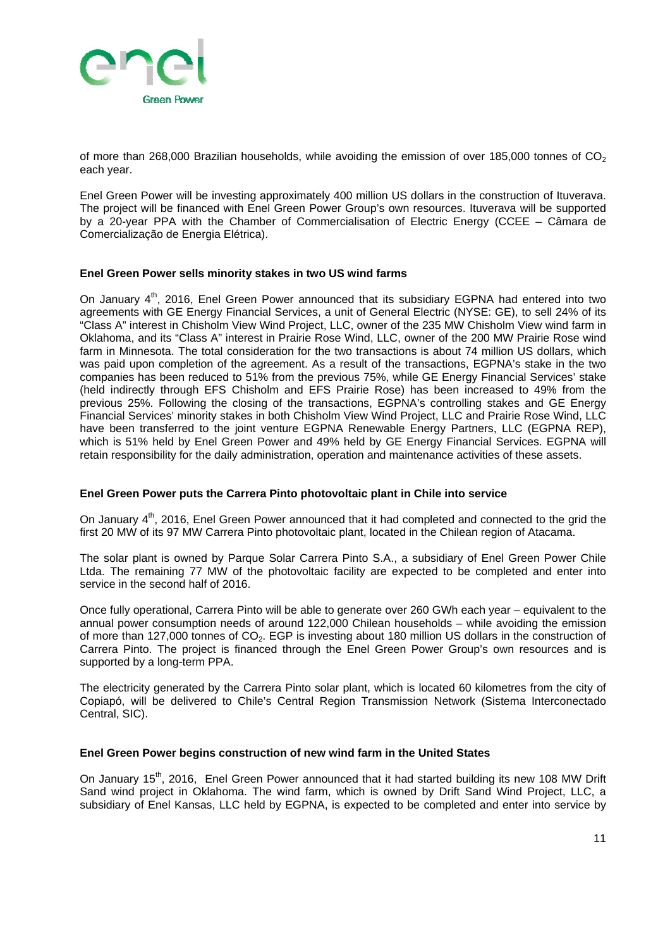

of more than 268,000 Brazilian households, while avoiding the emission of over 185,000 tonnes of CO<sub>2</sub> each year.

Enel Green Power will be investing approximately 400 million US dollars in the construction of Ituverava. The project will be financed with Enel Green Power Group's own resources. Ituverava will be supported by a 20-year PPA with the Chamber of Commercialisation of Electric Energy (CCEE – Câmara de Comercialização de Energia Elétrica).

#### **Enel Green Power sells minority stakes in two US wind farms**

On January 4<sup>th</sup>, 2016, Enel Green Power announced that its subsidiary EGPNA had entered into two agreements with GE Energy Financial Services, a unit of General Electric (NYSE: GE), to sell 24% of its "Class A" interest in Chisholm View Wind Project, LLC, owner of the 235 MW Chisholm View wind farm in Oklahoma, and its "Class A" interest in Prairie Rose Wind, LLC, owner of the 200 MW Prairie Rose wind farm in Minnesota. The total consideration for the two transactions is about 74 million US dollars, which was paid upon completion of the agreement. As a result of the transactions, EGPNA's stake in the two companies has been reduced to 51% from the previous 75%, while GE Energy Financial Services' stake (held indirectly through EFS Chisholm and EFS Prairie Rose) has been increased to 49% from the previous 25%. Following the closing of the transactions, EGPNA's controlling stakes and GE Energy Financial Services' minority stakes in both Chisholm View Wind Project, LLC and Prairie Rose Wind, LLC have been transferred to the joint venture EGPNA Renewable Energy Partners, LLC (EGPNA REP), which is 51% held by Enel Green Power and 49% held by GE Energy Financial Services. EGPNA will retain responsibility for the daily administration, operation and maintenance activities of these assets.

#### **Enel Green Power puts the Carrera Pinto photovoltaic plant in Chile into service**

On January 4<sup>th</sup>, 2016, Enel Green Power announced that it had completed and connected to the grid the first 20 MW of its 97 MW Carrera Pinto photovoltaic plant, located in the Chilean region of Atacama.

The solar plant is owned by Parque Solar Carrera Pinto S.A., a subsidiary of Enel Green Power Chile Ltda. The remaining 77 MW of the photovoltaic facility are expected to be completed and enter into service in the second half of 2016.

Once fully operational, Carrera Pinto will be able to generate over 260 GWh each year – equivalent to the annual power consumption needs of around 122,000 Chilean households – while avoiding the emission of more than 127,000 tonnes of  $CO<sub>2</sub>$ . EGP is investing about 180 million US dollars in the construction of Carrera Pinto. The project is financed through the Enel Green Power Group's own resources and is supported by a long-term PPA.

The electricity generated by the Carrera Pinto solar plant, which is located 60 kilometres from the city of Copiapó, will be delivered to Chile's Central Region Transmission Network (Sistema Interconectado Central, SIC).

#### **Enel Green Power begins construction of new wind farm in the United States**

On January  $15<sup>th</sup>$ , 2016, Enel Green Power announced that it had started building its new 108 MW Drift Sand wind project in Oklahoma. The wind farm, which is owned by Drift Sand Wind Project, LLC, a subsidiary of Enel Kansas, LLC held by EGPNA, is expected to be completed and enter into service by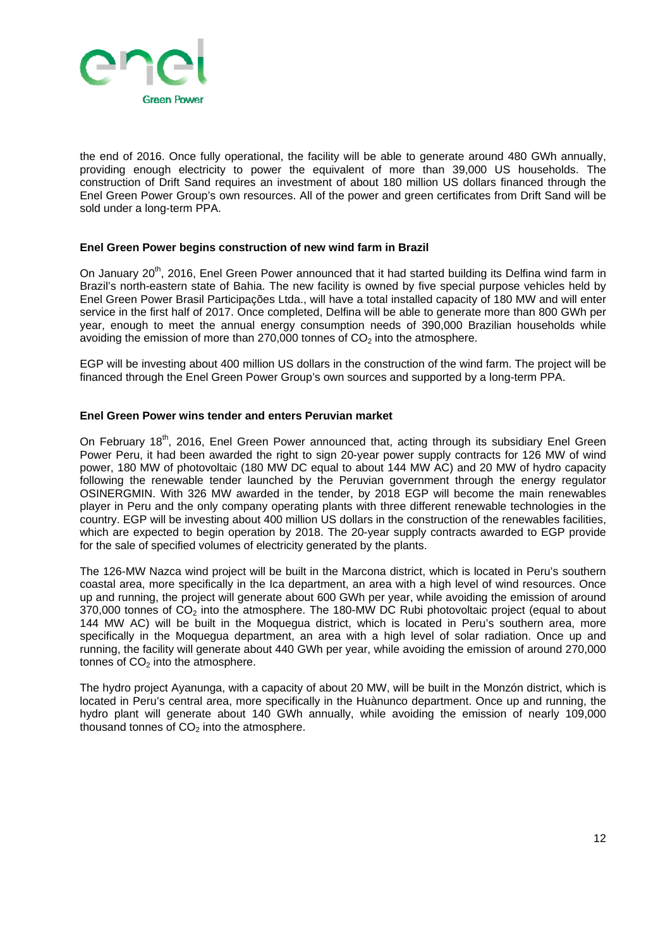

the end of 2016. Once fully operational, the facility will be able to generate around 480 GWh annually, providing enough electricity to power the equivalent of more than 39,000 US households. The construction of Drift Sand requires an investment of about 180 million US dollars financed through the Enel Green Power Group's own resources. All of the power and green certificates from Drift Sand will be sold under a long-term PPA.

#### **Enel Green Power begins construction of new wind farm in Brazil**

On January 20<sup>th</sup>, 2016, Enel Green Power announced that it had started building its Delfina wind farm in Brazil's north-eastern state of Bahia. The new facility is owned by five special purpose vehicles held by Enel Green Power Brasil Participações Ltda., will have a total installed capacity of 180 MW and will enter service in the first half of 2017. Once completed, Delfina will be able to generate more than 800 GWh per year, enough to meet the annual energy consumption needs of 390,000 Brazilian households while avoiding the emission of more than  $270,000$  tonnes of  $CO<sub>2</sub>$  into the atmosphere.

EGP will be investing about 400 million US dollars in the construction of the wind farm. The project will be financed through the Enel Green Power Group's own sources and supported by a long-term PPA.

#### **Enel Green Power wins tender and enters Peruvian market**

On February 18<sup>th</sup>, 2016, Enel Green Power announced that, acting through its subsidiary Enel Green Power Peru, it had been awarded the right to sign 20-year power supply contracts for 126 MW of wind power, 180 MW of photovoltaic (180 MW DC equal to about 144 MW AC) and 20 MW of hydro capacity following the renewable tender launched by the Peruvian government through the energy regulator OSINERGMIN. With 326 MW awarded in the tender, by 2018 EGP will become the main renewables player in Peru and the only company operating plants with three different renewable technologies in the country. EGP will be investing about 400 million US dollars in the construction of the renewables facilities, which are expected to begin operation by 2018. The 20-year supply contracts awarded to EGP provide for the sale of specified volumes of electricity generated by the plants.

The 126-MW Nazca wind project will be built in the Marcona district, which is located in Peru's southern coastal area, more specifically in the Ica department, an area with a high level of wind resources. Once up and running, the project will generate about 600 GWh per year, while avoiding the emission of around  $370,000$  tonnes of  $CO<sub>2</sub>$  into the atmosphere. The 180-MW DC Rubi photovoltaic project (equal to about 144 MW AC) will be built in the Moquegua district, which is located in Peru's southern area, more specifically in the Moquegua department, an area with a high level of solar radiation. Once up and running, the facility will generate about 440 GWh per year, while avoiding the emission of around 270,000 tonnes of  $CO<sub>2</sub>$  into the atmosphere.

The hydro project Ayanunga, with a capacity of about 20 MW, will be built in the Monzón district, which is located in Peru's central area, more specifically in the Huànunco department. Once up and running, the hydro plant will generate about 140 GWh annually, while avoiding the emission of nearly 109,000 thousand tonnes of  $CO<sub>2</sub>$  into the atmosphere.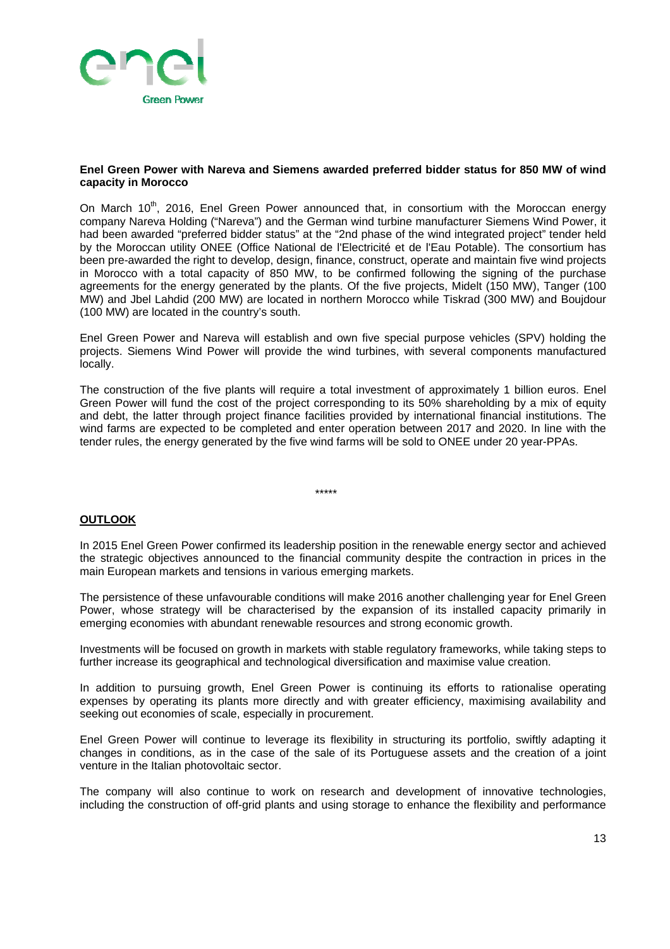

#### **Enel Green Power with Nareva and Siemens awarded preferred bidder status for 850 MW of wind capacity in Morocco**

On March 10<sup>th</sup>, 2016, Enel Green Power announced that, in consortium with the Moroccan energy company Nareva Holding ("Nareva") and the German wind turbine manufacturer Siemens Wind Power, it had been awarded "preferred bidder status" at the "2nd phase of the wind integrated project" tender held by the Moroccan utility ONEE (Office National de l'Electricité et de l'Eau Potable). The consortium has been pre-awarded the right to develop, design, finance, construct, operate and maintain five wind projects in Morocco with a total capacity of 850 MW, to be confirmed following the signing of the purchase agreements for the energy generated by the plants. Of the five projects, Midelt (150 MW), Tanger (100 MW) and Jbel Lahdid (200 MW) are located in northern Morocco while Tiskrad (300 MW) and Boujdour (100 MW) are located in the country's south.

Enel Green Power and Nareva will establish and own five special purpose vehicles (SPV) holding the projects. Siemens Wind Power will provide the wind turbines, with several components manufactured locally.

The construction of the five plants will require a total investment of approximately 1 billion euros. Enel Green Power will fund the cost of the project corresponding to its 50% shareholding by a mix of equity and debt, the latter through project finance facilities provided by international financial institutions. The wind farms are expected to be completed and enter operation between 2017 and 2020. In line with the tender rules, the energy generated by the five wind farms will be sold to ONEE under 20 year-PPAs.

\*\*\*\*\*

#### **OUTLOOK**

In 2015 Enel Green Power confirmed its leadership position in the renewable energy sector and achieved the strategic objectives announced to the financial community despite the contraction in prices in the main European markets and tensions in various emerging markets.

The persistence of these unfavourable conditions will make 2016 another challenging year for Enel Green Power, whose strategy will be characterised by the expansion of its installed capacity primarily in emerging economies with abundant renewable resources and strong economic growth.

Investments will be focused on growth in markets with stable regulatory frameworks, while taking steps to further increase its geographical and technological diversification and maximise value creation.

In addition to pursuing growth, Enel Green Power is continuing its efforts to rationalise operating expenses by operating its plants more directly and with greater efficiency, maximising availability and seeking out economies of scale, especially in procurement.

Enel Green Power will continue to leverage its flexibility in structuring its portfolio, swiftly adapting it changes in conditions, as in the case of the sale of its Portuguese assets and the creation of a joint venture in the Italian photovoltaic sector.

The company will also continue to work on research and development of innovative technologies, including the construction of off-grid plants and using storage to enhance the flexibility and performance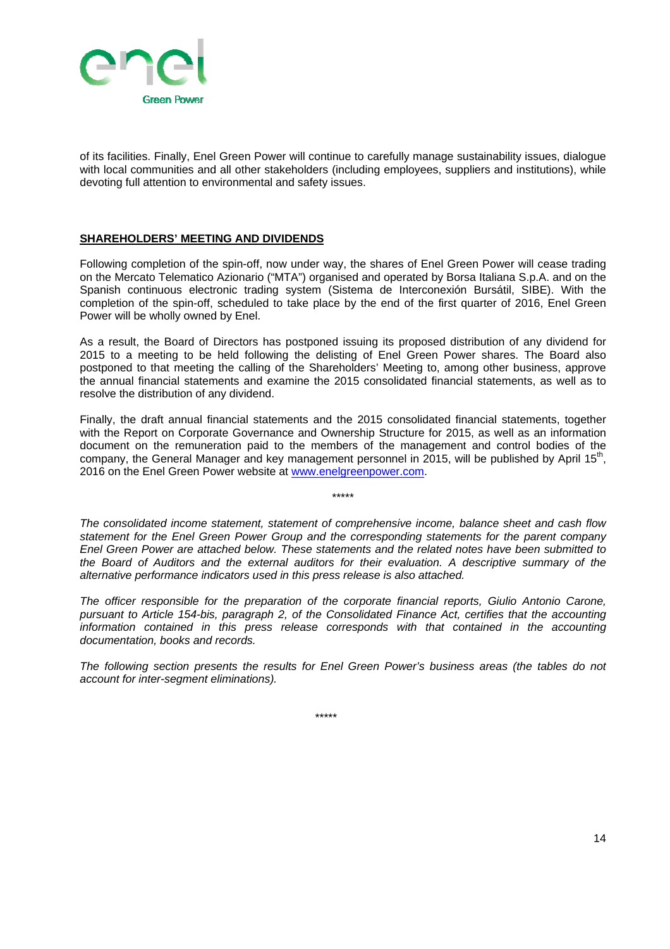

of its facilities. Finally, Enel Green Power will continue to carefully manage sustainability issues, dialogue with local communities and all other stakeholders (including employees, suppliers and institutions), while devoting full attention to environmental and safety issues.

#### **SHAREHOLDERS' MEETING AND DIVIDENDS**

Following completion of the spin-off, now under way, the shares of Enel Green Power will cease trading on the Mercato Telematico Azionario ("MTA") organised and operated by Borsa Italiana S.p.A. and on the Spanish continuous electronic trading system (Sistema de Interconexión Bursátil, SIBE). With the completion of the spin-off, scheduled to take place by the end of the first quarter of 2016, Enel Green Power will be wholly owned by Enel.

As a result, the Board of Directors has postponed issuing its proposed distribution of any dividend for 2015 to a meeting to be held following the delisting of Enel Green Power shares. The Board also postponed to that meeting the calling of the Shareholders' Meeting to, among other business, approve the annual financial statements and examine the 2015 consolidated financial statements, as well as to resolve the distribution of any dividend.

Finally, the draft annual financial statements and the 2015 consolidated financial statements, together with the Report on Corporate Governance and Ownership Structure for 2015, as well as an information document on the remuneration paid to the members of the management and control bodies of the company, the General Manager and key management personnel in 2015, will be published by April 15<sup>th</sup>, 2016 on the Enel Green Power website at www.enelgreenpower.com.

\*\*\*\*\*

*The consolidated income statement, statement of comprehensive income, balance sheet and cash flow statement for the Enel Green Power Group and the corresponding statements for the parent company Enel Green Power are attached below. These statements and the related notes have been submitted to the Board of Auditors and the external auditors for their evaluation. A descriptive summary of the alternative performance indicators used in this press release is also attached.* 

*The officer responsible for the preparation of the corporate financial reports, Giulio Antonio Carone, pursuant to Article 154-bis, paragraph 2, of the Consolidated Finance Act, certifies that the accounting information contained in this press release corresponds with that contained in the accounting documentation, books and records.* 

*The following section presents the results for Enel Green Power's business areas (the tables do not account for inter-segment eliminations).*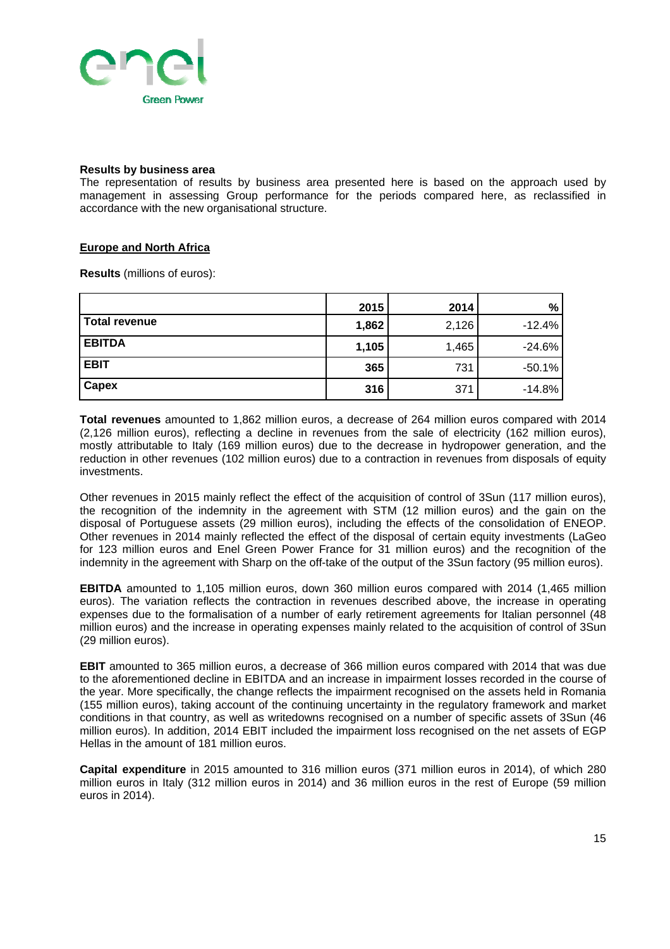

#### **Results by business area**

The representation of results by business area presented here is based on the approach used by management in assessing Group performance for the periods compared here, as reclassified in accordance with the new organisational structure.

#### **Europe and North Africa**

**Results** (millions of euros):

|               | 2015  | 2014  | %        |
|---------------|-------|-------|----------|
| Total revenue | 1,862 | 2,126 | $-12.4%$ |
| <b>EBITDA</b> | 1,105 | 1,465 | $-24.6%$ |
| <b>EBIT</b>   | 365   | 731   | $-50.1%$ |
| <b>Capex</b>  | 316   | 371   | $-14.8%$ |

**Total revenues** amounted to 1,862 million euros, a decrease of 264 million euros compared with 2014 (2,126 million euros), reflecting a decline in revenues from the sale of electricity (162 million euros), mostly attributable to Italy (169 million euros) due to the decrease in hydropower generation, and the reduction in other revenues (102 million euros) due to a contraction in revenues from disposals of equity investments.

Other revenues in 2015 mainly reflect the effect of the acquisition of control of 3Sun (117 million euros), the recognition of the indemnity in the agreement with STM (12 million euros) and the gain on the disposal of Portuguese assets (29 million euros), including the effects of the consolidation of ENEOP. Other revenues in 2014 mainly reflected the effect of the disposal of certain equity investments (LaGeo for 123 million euros and Enel Green Power France for 31 million euros) and the recognition of the indemnity in the agreement with Sharp on the off-take of the output of the 3Sun factory (95 million euros).

**EBITDA** amounted to 1,105 million euros, down 360 million euros compared with 2014 (1,465 million euros). The variation reflects the contraction in revenues described above, the increase in operating expenses due to the formalisation of a number of early retirement agreements for Italian personnel (48 million euros) and the increase in operating expenses mainly related to the acquisition of control of 3Sun (29 million euros).

**EBIT** amounted to 365 million euros, a decrease of 366 million euros compared with 2014 that was due to the aforementioned decline in EBITDA and an increase in impairment losses recorded in the course of the year. More specifically, the change reflects the impairment recognised on the assets held in Romania (155 million euros), taking account of the continuing uncertainty in the regulatory framework and market conditions in that country, as well as writedowns recognised on a number of specific assets of 3Sun (46 million euros). In addition, 2014 EBIT included the impairment loss recognised on the net assets of EGP Hellas in the amount of 181 million euros.

**Capital expenditure** in 2015 amounted to 316 million euros (371 million euros in 2014), of which 280 million euros in Italy (312 million euros in 2014) and 36 million euros in the rest of Europe (59 million euros in 2014).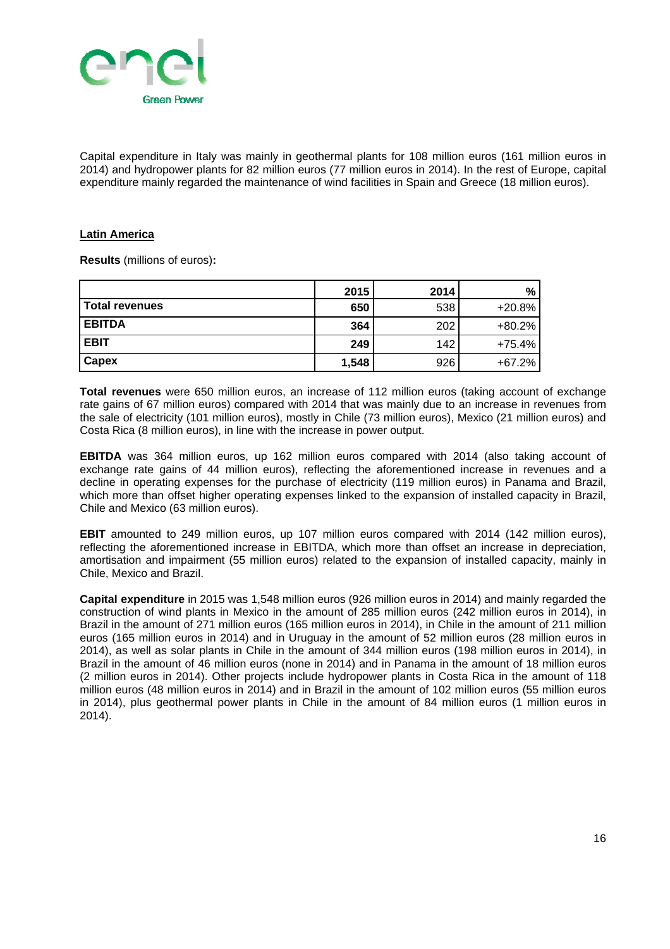

Capital expenditure in Italy was mainly in geothermal plants for 108 million euros (161 million euros in 2014) and hydropower plants for 82 million euros (77 million euros in 2014). In the rest of Europe, capital expenditure mainly regarded the maintenance of wind facilities in Spain and Greece (18 million euros).

#### **Latin America**

**Results** (millions of euros)**:** 

|                       | 2015  | 2014 | %.       |
|-----------------------|-------|------|----------|
| <b>Total revenues</b> | 650   | 538  | $+20.8%$ |
| <b>EBITDA</b>         | 364   | 202  | $+80.2%$ |
| <b>EBIT</b>           | 249   | 142  | $+75.4%$ |
| <b>Capex</b>          | 1,548 | 926  | $+67.2%$ |

**Total revenues** were 650 million euros, an increase of 112 million euros (taking account of exchange rate gains of 67 million euros) compared with 2014 that was mainly due to an increase in revenues from the sale of electricity (101 million euros), mostly in Chile (73 million euros), Mexico (21 million euros) and Costa Rica (8 million euros), in line with the increase in power output.

**EBITDA** was 364 million euros, up 162 million euros compared with 2014 (also taking account of exchange rate gains of 44 million euros), reflecting the aforementioned increase in revenues and a decline in operating expenses for the purchase of electricity (119 million euros) in Panama and Brazil, which more than offset higher operating expenses linked to the expansion of installed capacity in Brazil, Chile and Mexico (63 million euros).

**EBIT** amounted to 249 million euros, up 107 million euros compared with 2014 (142 million euros), reflecting the aforementioned increase in EBITDA, which more than offset an increase in depreciation, amortisation and impairment (55 million euros) related to the expansion of installed capacity, mainly in Chile, Mexico and Brazil.

**Capital expenditure** in 2015 was 1,548 million euros (926 million euros in 2014) and mainly regarded the construction of wind plants in Mexico in the amount of 285 million euros (242 million euros in 2014), in Brazil in the amount of 271 million euros (165 million euros in 2014), in Chile in the amount of 211 million euros (165 million euros in 2014) and in Uruguay in the amount of 52 million euros (28 million euros in 2014), as well as solar plants in Chile in the amount of 344 million euros (198 million euros in 2014), in Brazil in the amount of 46 million euros (none in 2014) and in Panama in the amount of 18 million euros (2 million euros in 2014). Other projects include hydropower plants in Costa Rica in the amount of 118 million euros (48 million euros in 2014) and in Brazil in the amount of 102 million euros (55 million euros in 2014), plus geothermal power plants in Chile in the amount of 84 million euros (1 million euros in 2014).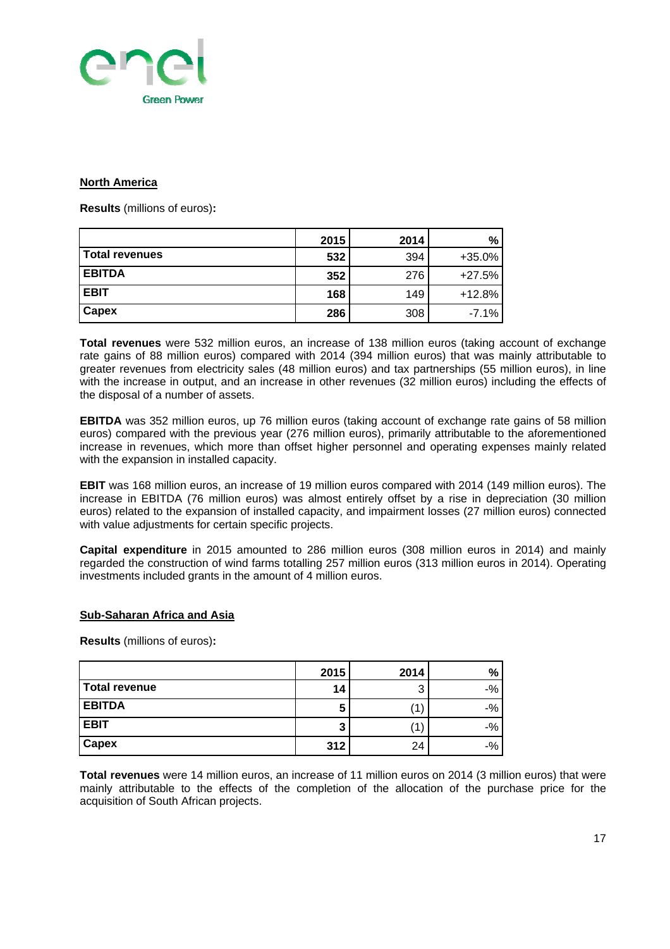

#### **North America**

**Results** (millions of euros)**:** 

|                | 2015 | 2014 | $\%$     |
|----------------|------|------|----------|
| Total revenues | 532  | 394  | $+35.0%$ |
| <b>EBITDA</b>  | 352  | 276  | $+27.5%$ |
| <b>EBIT</b>    | 168  | 149  | $+12.8%$ |
| Capex          | 286  | 308  | $-7.1%$  |

**Total revenues** were 532 million euros, an increase of 138 million euros (taking account of exchange rate gains of 88 million euros) compared with 2014 (394 million euros) that was mainly attributable to greater revenues from electricity sales (48 million euros) and tax partnerships (55 million euros), in line with the increase in output, and an increase in other revenues (32 million euros) including the effects of the disposal of a number of assets.

**EBITDA** was 352 million euros, up 76 million euros (taking account of exchange rate gains of 58 million euros) compared with the previous year (276 million euros), primarily attributable to the aforementioned increase in revenues, which more than offset higher personnel and operating expenses mainly related with the expansion in installed capacity.

**EBIT** was 168 million euros, an increase of 19 million euros compared with 2014 (149 million euros). The increase in EBITDA (76 million euros) was almost entirely offset by a rise in depreciation (30 million euros) related to the expansion of installed capacity, and impairment losses (27 million euros) connected with value adjustments for certain specific projects.

**Capital expenditure** in 2015 amounted to 286 million euros (308 million euros in 2014) and mainly regarded the construction of wind farms totalling 257 million euros (313 million euros in 2014). Operating investments included grants in the amount of 4 million euros.

#### **Sub-Saharan Africa and Asia**

**Results** (millions of euros)**:** 

|               | 2015 | 2014 | $\frac{9}{6}$ |
|---------------|------|------|---------------|
| Total revenue | 14   | 3    | $-$ %         |
| <b>EBITDA</b> | 5    |      | $-$ %         |
| <b>EBIT</b>   | 3    |      | $-$ %         |
| Capex         | 312  | 24   | $-$ %         |

**Total revenues** were 14 million euros, an increase of 11 million euros on 2014 (3 million euros) that were mainly attributable to the effects of the completion of the allocation of the purchase price for the acquisition of South African projects.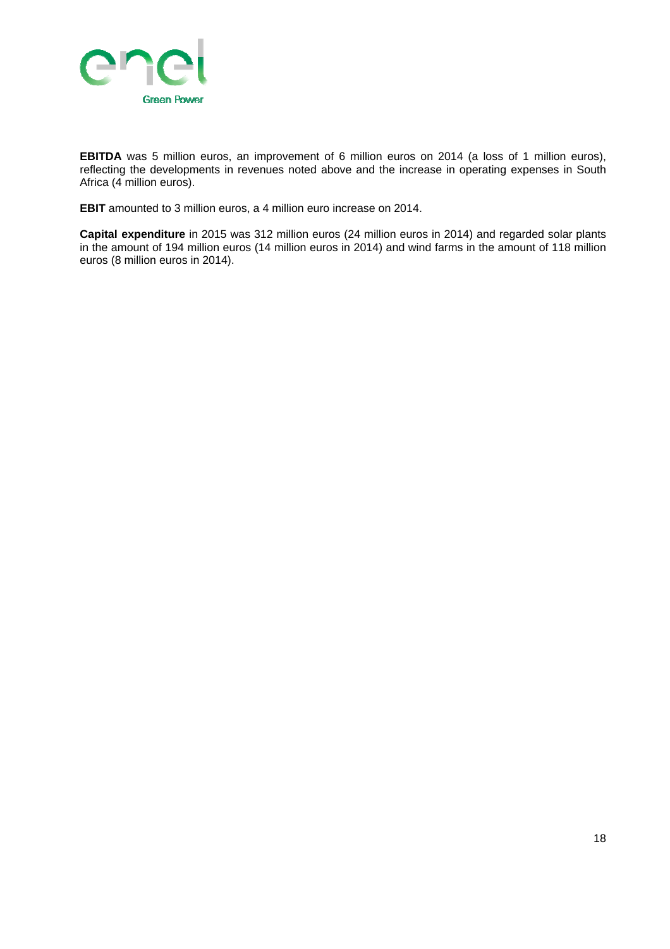

**EBITDA** was 5 million euros, an improvement of 6 million euros on 2014 (a loss of 1 million euros), reflecting the developments in revenues noted above and the increase in operating expenses in South Africa (4 million euros).

**EBIT** amounted to 3 million euros, a 4 million euro increase on 2014.

**Capital expenditure** in 2015 was 312 million euros (24 million euros in 2014) and regarded solar plants in the amount of 194 million euros (14 million euros in 2014) and wind farms in the amount of 118 million euros (8 million euros in 2014).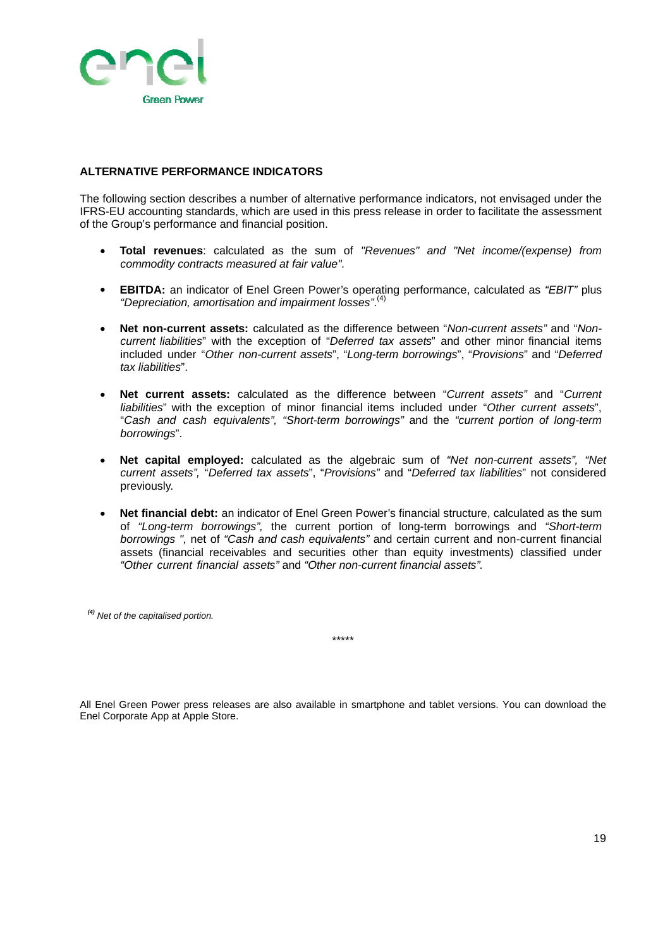

#### **ALTERNATIVE PERFORMANCE INDICATORS**

The following section describes a number of alternative performance indicators, not envisaged under the IFRS-EU accounting standards, which are used in this press release in order to facilitate the assessment of the Group's performance and financial position.

- **Total revenues**: calculated as the sum of *"Revenues" and "Net income/(expense) from commodity contracts measured at fair value".*
- **EBITDA:** an indicator of Enel Green Power's operating performance, calculated as *"EBIT"* plus *"Depreciation, amortisation and impairment losses"*. (4)
- **Net non-current assets:** calculated as the difference between "*Non-current assets"* and "*Noncurrent liabilities*" with the exception of "*Deferred tax assets*" and other minor financial items included under "*Other non-current assets*", "*Long-term borrowings*", "*Provisions*" and "*Deferred tax liabilities*".
- **Net current assets:** calculated as the difference between "*Current assets"* and "*Current liabilities*" with the exception of minor financial items included under "*Other current assets*", "*Cash and cash equivalents", "Short-term borrowings"* and the *"current portion of long-term borrowings*".
- **Net capital employed:** calculated as the algebraic sum of *"Net non-current assets", "Net current assets",* "*Deferred tax assets*", "*Provisions"* and "*Deferred tax liabilities*" not considered previously.
- **Net financial debt:** an indicator of Enel Green Power's financial structure, calculated as the sum of *"Long-term borrowings",* the current portion of long-term borrowings and *"Short-term borrowings ",* net of *"Cash and cash equivalents"* and certain current and non-current financial assets (financial receivables and securities other than equity investments) classified under *"Other current financial assets"* and *"Other non-current financial assets".*

*(4) Net of the capitalised portion.*

\*\*\*\*\*

All Enel Green Power press releases are also available in smartphone and tablet versions. You can download the Enel Corporate App at Apple Store.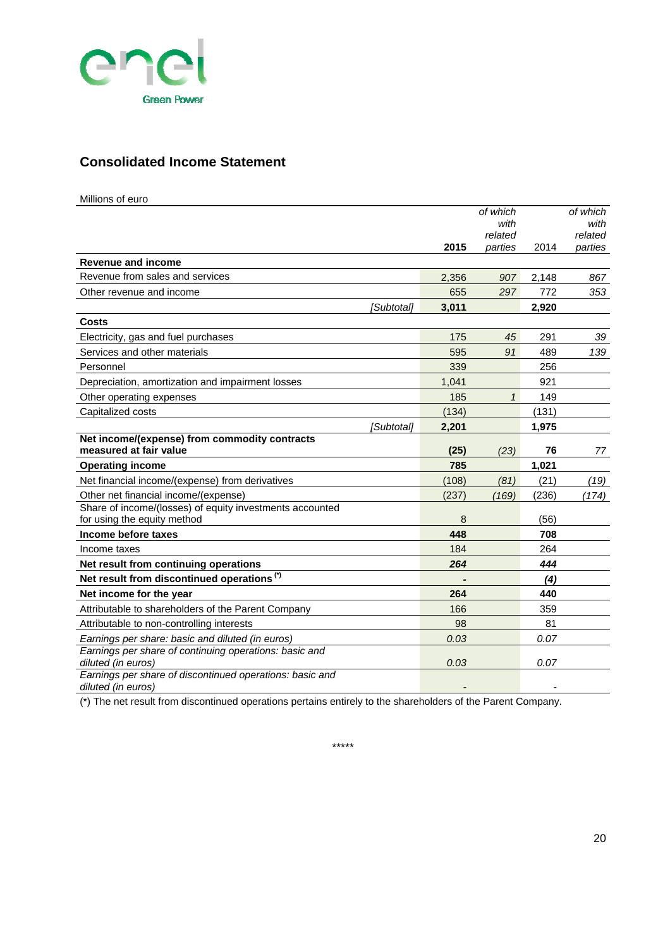

### **Consolidated Income Statement**

| Millions of euro |  |
|------------------|--|
|------------------|--|

|                                                                                |       | of which<br>with<br>related |       | of which<br>with<br>related |
|--------------------------------------------------------------------------------|-------|-----------------------------|-------|-----------------------------|
|                                                                                | 2015  | parties                     | 2014  | parties                     |
| <b>Revenue and income</b>                                                      |       |                             |       |                             |
| Revenue from sales and services                                                | 2,356 | 907                         | 2,148 | 867                         |
| Other revenue and income                                                       | 655   | 297                         | 772   | 353                         |
| [Subtotal]                                                                     | 3.011 |                             | 2.920 |                             |
| <b>Costs</b>                                                                   |       |                             |       |                             |
| Electricity, gas and fuel purchases                                            | 175   | 45                          | 291   | 39                          |
| Services and other materials                                                   | 595   | 91                          | 489   | 139                         |
| Personnel                                                                      | 339   |                             | 256   |                             |
| Depreciation, amortization and impairment losses                               | 1,041 |                             | 921   |                             |
| Other operating expenses                                                       | 185   | $\mathbf{1}$                | 149   |                             |
| Capitalized costs                                                              | (134) |                             | (131) |                             |
| [Subtotal]                                                                     | 2,201 |                             | 1,975 |                             |
| Net income/(expense) from commodity contracts                                  |       |                             |       |                             |
| measured at fair value                                                         | (25)  | (23)                        | 76    | 77                          |
| <b>Operating income</b>                                                        | 785   |                             | 1,021 |                             |
| Net financial income/(expense) from derivatives                                | (108) | (81)                        | (21)  | (19)                        |
| Other net financial income/(expense)                                           | (237) | (169)                       | (236) | (174)                       |
| Share of income/(losses) of equity investments accounted                       |       |                             |       |                             |
| for using the equity method                                                    | 8     |                             | (56)  |                             |
| Income before taxes                                                            | 448   |                             | 708   |                             |
| Income taxes                                                                   | 184   |                             | 264   |                             |
| Net result from continuing operations                                          | 264   |                             | 444   |                             |
| Net result from discontinued operations <sup>(*)</sup>                         |       |                             | (4)   |                             |
| Net income for the year                                                        | 264   |                             | 440   |                             |
| Attributable to shareholders of the Parent Company                             | 166   |                             | 359   |                             |
| Attributable to non-controlling interests                                      | 98    |                             | 81    |                             |
| Earnings per share: basic and diluted (in euros)                               | 0.03  |                             | 0.07  |                             |
| Earnings per share of continuing operations: basic and<br>diluted (in euros)   | 0.03  |                             | 0.07  |                             |
| Earnings per share of discontinued operations: basic and<br>diluted (in euros) |       |                             |       |                             |

(\*) The net result from discontinued operations pertains entirely to the shareholders of the Parent Company.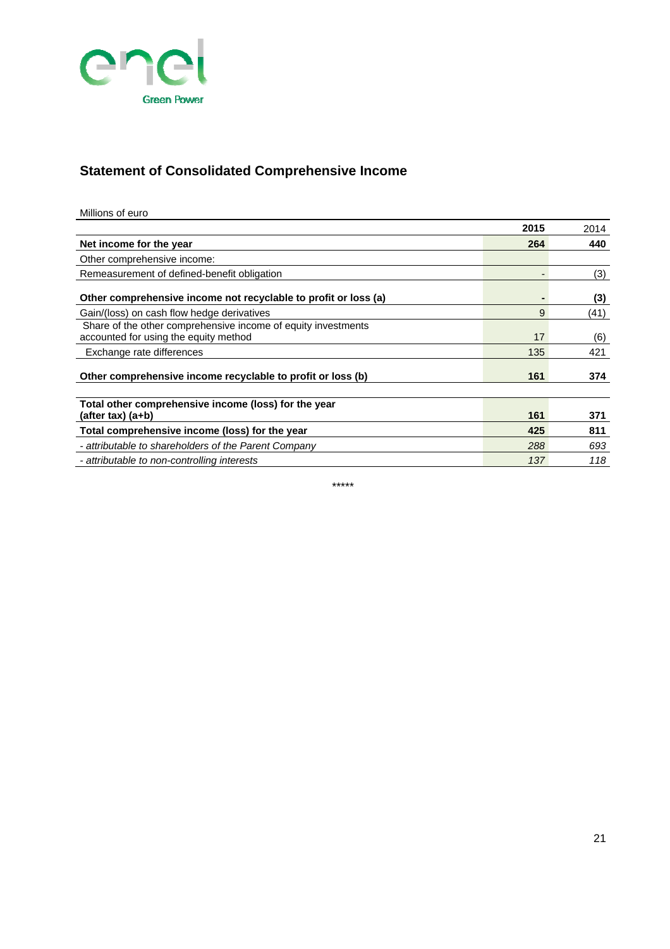

# **Statement of Consolidated Comprehensive Income**

| Millions of euro |  |
|------------------|--|
|                  |  |

|                                                                                                        | 2015 | 2014 |
|--------------------------------------------------------------------------------------------------------|------|------|
| Net income for the year                                                                                | 264  | 440  |
| Other comprehensive income:                                                                            |      |      |
| Remeasurement of defined-benefit obligation                                                            |      | (3)  |
| Other comprehensive income not recyclable to profit or loss (a)                                        |      | (3)  |
| Gain/(loss) on cash flow hedge derivatives                                                             | 9    | (41) |
| Share of the other comprehensive income of equity investments<br>accounted for using the equity method | 17   | (6)  |
| Exchange rate differences                                                                              | 135  | 421  |
| Other comprehensive income recyclable to profit or loss (b)                                            | 161  | 374  |
| Total other comprehensive income (loss) for the year<br>$(after tax)$ $(a+b)$                          | 161  | 371  |
| Total comprehensive income (loss) for the year                                                         | 425  | 811  |
| - attributable to shareholders of the Parent Company                                                   | 288  | 693  |
| - attributable to non-controlling interests                                                            | 137  | 118  |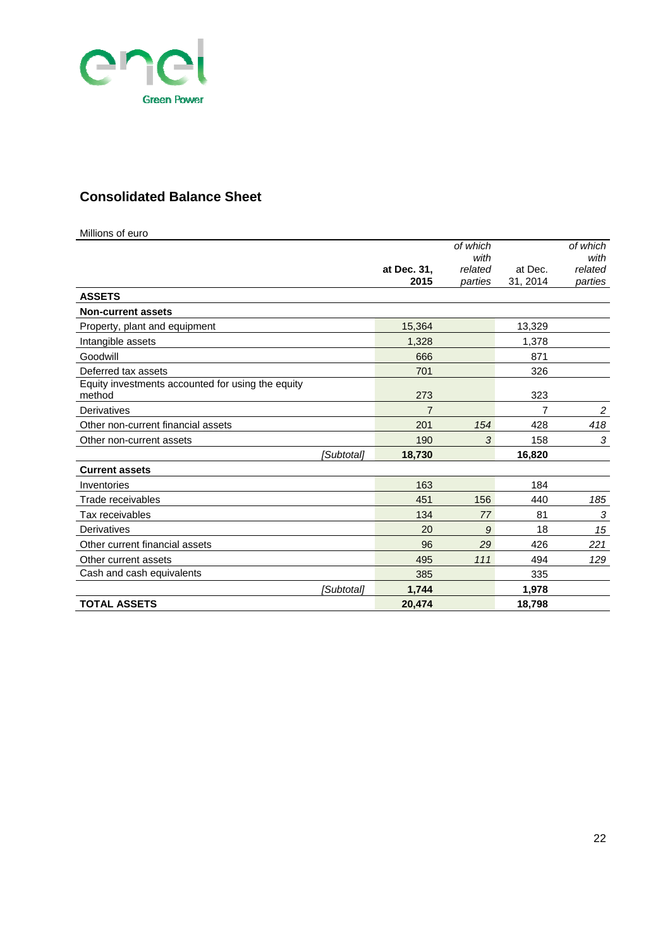

## **Consolidated Balance Sheet**

| Millions of euro                                            |                     |                    |          |                    |
|-------------------------------------------------------------|---------------------|--------------------|----------|--------------------|
|                                                             |                     | of which           |          | of which           |
|                                                             |                     | with               | at Dec.  | with               |
|                                                             | at Dec. 31,<br>2015 | related<br>parties | 31, 2014 | related<br>parties |
| <b>ASSETS</b>                                               |                     |                    |          |                    |
| <b>Non-current assets</b>                                   |                     |                    |          |                    |
| Property, plant and equipment                               | 15,364              |                    | 13,329   |                    |
| Intangible assets                                           | 1,328               |                    | 1,378    |                    |
| Goodwill                                                    | 666                 |                    | 871      |                    |
| Deferred tax assets                                         | 701                 |                    | 326      |                    |
| Equity investments accounted for using the equity<br>method | 273                 |                    | 323      |                    |
| Derivatives                                                 | 7                   |                    | 7        | $\overline{c}$     |
| Other non-current financial assets                          | 201                 | 154                | 428      | 418                |
| Other non-current assets                                    | 190                 | 3                  | 158      | 3                  |
|                                                             |                     |                    |          |                    |
| [Subtotal]                                                  | 18,730              |                    | 16,820   |                    |
| <b>Current assets</b>                                       |                     |                    |          |                    |
| Inventories                                                 | 163                 |                    | 184      |                    |
| Trade receivables                                           | 451                 | 156                | 440      | 185                |
| Tax receivables                                             | 134                 | 77                 | 81       | $\sqrt{3}$         |
| Derivatives                                                 | 20                  | 9                  | 18       | 15                 |
| Other current financial assets                              | 96                  | 29                 | 426      | 221                |
| Other current assets                                        | 495                 | 111                | 494      | 129                |
| Cash and cash equivalents                                   | 385                 |                    | 335      |                    |
| <i><b>Subtotal1</b></i>                                     | 1.744               |                    | 1,978    |                    |
| <b>TOTAL ASSETS</b>                                         | 20,474              |                    | 18,798   |                    |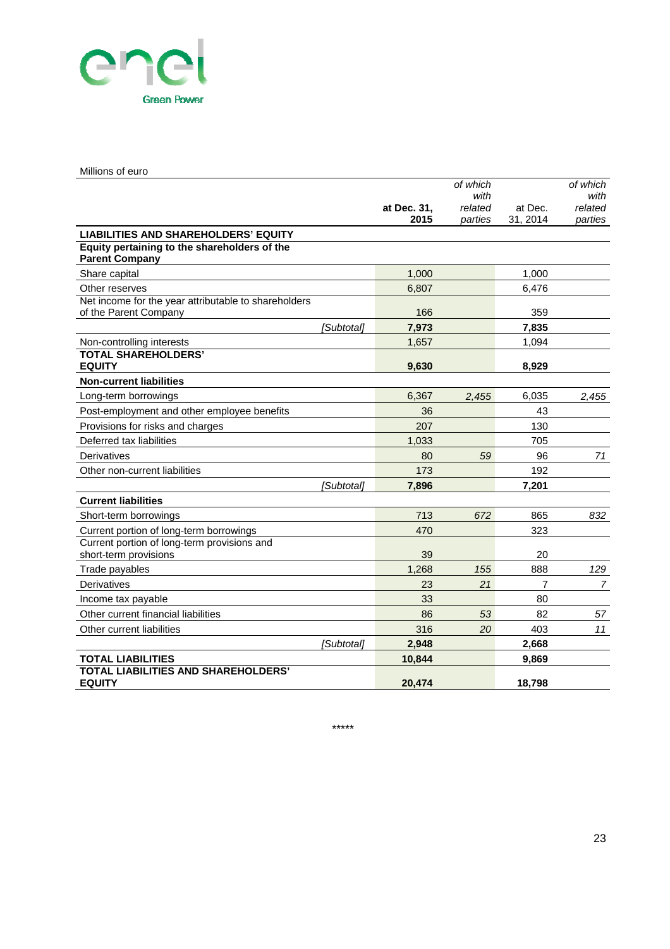

#### Millions of euro

|                                                             |                     | of which           |                     | of which           |
|-------------------------------------------------------------|---------------------|--------------------|---------------------|--------------------|
|                                                             |                     | with               |                     | with               |
|                                                             | at Dec. 31,<br>2015 | related<br>parties | at Dec.<br>31, 2014 | related<br>parties |
| <b>LIABILITIES AND SHAREHOLDERS' EQUITY</b>                 |                     |                    |                     |                    |
| Equity pertaining to the shareholders of the                |                     |                    |                     |                    |
| <b>Parent Company</b>                                       |                     |                    |                     |                    |
| Share capital                                               | 1,000               |                    | 1,000               |                    |
| Other reserves                                              | 6,807               |                    | 6,476               |                    |
| Net income for the year attributable to shareholders        |                     |                    |                     |                    |
| of the Parent Company                                       | 166                 |                    | 359                 |                    |
| [Subtotal]                                                  | 7,973               |                    | 7,835               |                    |
| Non-controlling interests                                   | 1,657               |                    | 1,094               |                    |
| <b>TOTAL SHAREHOLDERS'</b><br><b>EQUITY</b>                 | 9,630               |                    | 8,929               |                    |
| <b>Non-current liabilities</b>                              |                     |                    |                     |                    |
| Long-term borrowings                                        | 6,367               | 2.455              | 6,035               | 2,455              |
| Post-employment and other employee benefits                 | 36                  |                    | 43                  |                    |
| Provisions for risks and charges                            | 207                 |                    | 130                 |                    |
| Deferred tax liabilities                                    | 1,033               |                    | 705                 |                    |
| Derivatives                                                 | 80                  | 59                 | 96                  | 71                 |
| Other non-current liabilities                               | 173                 |                    | 192                 |                    |
| [Subtotal]                                                  | 7,896               |                    | 7,201               |                    |
| <b>Current liabilities</b>                                  |                     |                    |                     |                    |
| Short-term borrowings                                       | 713                 | 672                | 865                 | 832                |
| Current portion of long-term borrowings                     | 470                 |                    | 323                 |                    |
| Current portion of long-term provisions and                 |                     |                    |                     |                    |
| short-term provisions                                       | 39                  |                    | 20                  |                    |
| Trade payables                                              | 1,268               | 155                | 888                 | 129                |
| Derivatives                                                 | 23                  | 21                 | $\overline{7}$      | $\overline{7}$     |
| Income tax payable                                          | 33                  |                    | 80                  |                    |
| Other current financial liabilities                         | 86                  | 53                 | 82                  | 57                 |
| Other current liabilities                                   | 316                 | 20                 | 403                 | 11                 |
| [Subtotal]                                                  | 2,948               |                    | 2,668               |                    |
| <b>TOTAL LIABILITIES</b>                                    | 10,844              |                    | 9,869               |                    |
| <b>TOTAL LIABILITIES AND SHAREHOLDERS'</b><br><b>EQUITY</b> | 20.474              |                    | 18.798              |                    |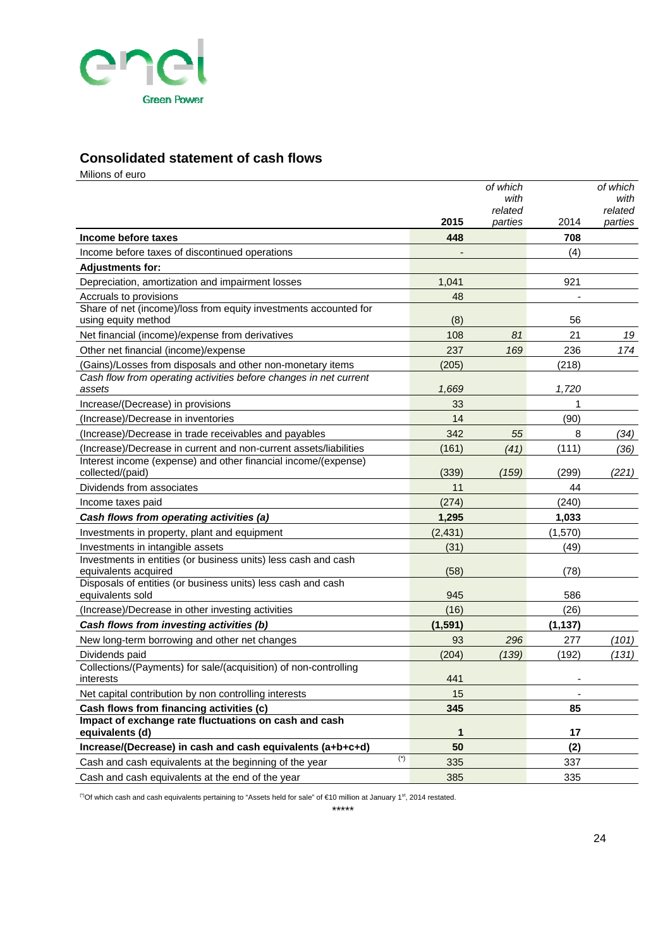

### **Consolidated statement of cash flows**

Milions of euro **2015** *of which with related parties* 2014 *of which with related parties* **Income before taxes 448 708** Income before taxes of discontinued operations - (4) **Adjustments for:**  Depreciation, amortization and impairment losses 1,041 921 Accruals to provisions and the set of the set of the set of the set of the set of the set of the set of the set of the set of the set of the set of the set of the set of the set of the set of the set of the set of the set Share of net (income)/loss from equity investments accounted for using equity method 66 Net financial (income)/expense from derivatives 108 *81* 21 *19* Other net financial (income)/expense 237 *169* 236 *174* (Gains)/Losses from disposals and other non-monetary items (205) (218) *Cash flow from operating activities before changes in net current assets 1,669 1,720* Increase/(Decrease) in provisions 33 1 (Increase)/Decrease in inventories 14 (90) (Increase)/Decrease in trade receivables and payables 342 *55* 8 *(34)* (Increase)/Decrease in current and non-current assets/liabilities (161) *(41)* (111) *(36)* Interest income (expense) and other financial income/(expense) collected/(paid) (339) *(159)* (299) *(221)* **Dividends from associates 11 11 11 144 11 11 144** Income taxes paid (274) (274) (2740) *Cash flows from operating activities (a)* **1,295 1,033** Investments in property, plant and equipment (2,431) (1,570) Investments in intangible assets (31) (49) (49) Investments in entities (or business units) less cash and cash equivalents acquired (58) (78) (78) Disposals of entities (or business units) less cash and cash equivalents sold 686 states and the state of the state of the state of the state of the state of the state of the state of the state of the state of the state of the state of the state of the state of the state of the stat (Increase)/Decrease in other investing activities (16) (26) *Cash flows from investing activities (b)* **(1,591) (1,137)** New long-term borrowing and other net changes 93 *296* 277 *(101)* Dividends paid (204) *(139)* (192) *(131)* Collections/(Payments) for sale/(acquisition) of non-controlling interests and the control of the control of the control of the control of the control of the control of the control of the control of the control of the control of the control of the control of the control of the control o Net capital contribution by non controlling interests 15 - **Cash flows from financing activities (c) 345 85 Impact of exchange rate fluctuations on cash and cash equivalents (d)** 17 **17 17 Increase/(Decrease) in cash and cash equivalents (a+b+c+d) 50 (2)** Cash and cash equivalents at the beginning of the year (\*) 335 337 337 Cash and cash equivalents at the end of the year 335 335 335 335

<sup>(\*)</sup>Of which cash and cash equivalents pertaining to "Assets held for sale" of €10 million at January 1<sup>st</sup>, 2014 restated.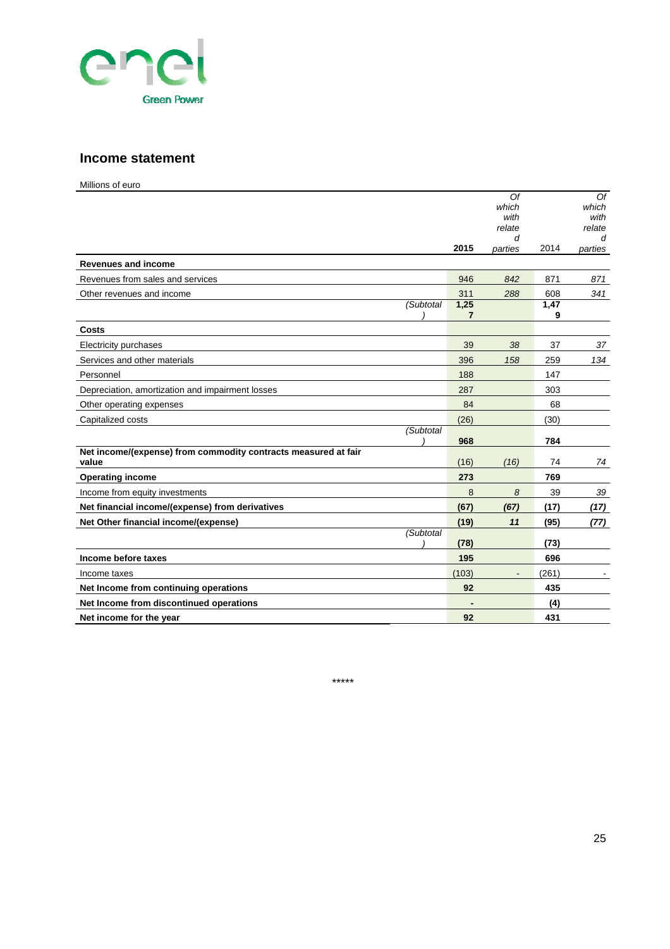

#### **Income statement**

Millions of euro

|                                                                         |           | Of<br>which<br>with<br>relate |           | Of<br>which<br>with<br>relate |
|-------------------------------------------------------------------------|-----------|-------------------------------|-----------|-------------------------------|
|                                                                         |           | d                             |           | d                             |
| <b>Revenues and income</b>                                              | 2015      | parties                       | 2014      | parties                       |
| Revenues from sales and services                                        | 946       | 842                           | 871       | 871                           |
| Other revenues and income                                               | 311       | 288                           | 608       | 341                           |
| (Subtotal                                                               | 1,25<br>7 |                               | 1,47<br>9 |                               |
| <b>Costs</b>                                                            |           |                               |           |                               |
| Electricity purchases                                                   | 39        | 38                            | 37        | 37                            |
| Services and other materials                                            | 396       | 158                           | 259       | 134                           |
| Personnel                                                               | 188       |                               | 147       |                               |
| Depreciation, amortization and impairment losses                        | 287       |                               | 303       |                               |
| Other operating expenses                                                | 84        |                               | 68        |                               |
| Capitalized costs                                                       | (26)      |                               | (30)      |                               |
| (Subtotal                                                               | 968       |                               | 784       |                               |
| Net income/(expense) from commodity contracts measured at fair<br>value | (16)      | (16)                          | 74        | 74                            |
| <b>Operating income</b>                                                 | 273       |                               | 769       |                               |
| Income from equity investments                                          | 8         | 8                             | 39        | 39                            |
| Net financial income/(expense) from derivatives                         | (67)      | (67)                          | (17)      | (17)                          |
| Net Other financial income/(expense)                                    | (19)      | 11                            | (95)      | (77)                          |
| (Subtotal                                                               | (78)      |                               | (73)      |                               |
| Income before taxes                                                     | 195       |                               | 696       |                               |
| Income taxes                                                            | (103)     |                               | (261)     |                               |
| Net Income from continuing operations                                   | 92        |                               | 435       |                               |
| Net Income from discontinued operations                                 |           |                               | (4)       |                               |
| Net income for the year                                                 | 92        |                               | 431       |                               |

\*\*\*\*\*

25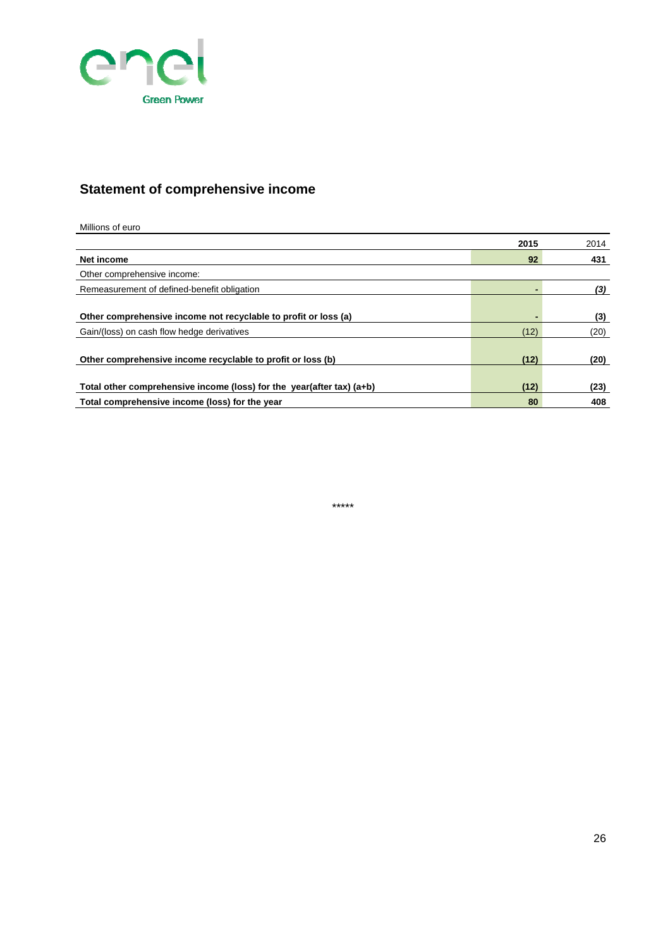

## **Statement of comprehensive income**

#### Millions of euro

|                                                                       | 2015           | 2014 |
|-----------------------------------------------------------------------|----------------|------|
| Net income                                                            | 92             | 431  |
| Other comprehensive income:                                           |                |      |
| Remeasurement of defined-benefit obligation                           |                | (3)  |
|                                                                       |                |      |
| Other comprehensive income not recyclable to profit or loss (a)       | $\blacksquare$ | (3)  |
| Gain/(loss) on cash flow hedge derivatives                            | (12)           | (20) |
| Other comprehensive income recyclable to profit or loss (b)           | (12)           | (20) |
| Total other comprehensive income (loss) for the year(after tax) (a+b) | (12)           | (23) |
| Total comprehensive income (loss) for the year                        | 80             | 408  |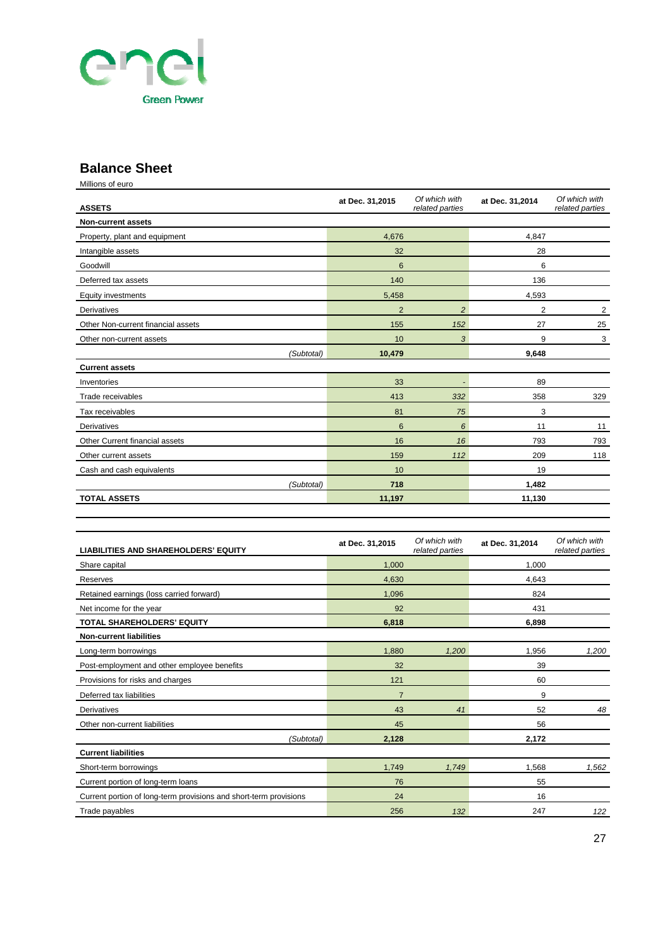

### **Balance Sheet**

Millions of euro

| <b>ASSETS</b>                      | at Dec. 31,2015 | Of which with<br>related parties | at Dec. 31,2014 | Of which with<br>related parties |
|------------------------------------|-----------------|----------------------------------|-----------------|----------------------------------|
| <b>Non-current assets</b>          |                 |                                  |                 |                                  |
| Property, plant and equipment      | 4,676           |                                  | 4,847           |                                  |
| Intangible assets                  | 32              |                                  | 28              |                                  |
| Goodwill                           | 6               |                                  | 6               |                                  |
| Deferred tax assets                | 140             |                                  | 136             |                                  |
| <b>Equity investments</b>          | 5,458           |                                  | 4,593           |                                  |
| <b>Derivatives</b>                 | $\overline{2}$  | $\overline{2}$                   | 2               | $\overline{2}$                   |
| Other Non-current financial assets | 155             | 152                              | 27              | 25                               |
| Other non-current assets           | 10              | 3                                | 9               | 3                                |
| (Subtotal)                         | 10,479          |                                  | 9,648           |                                  |
| <b>Current assets</b>              |                 |                                  |                 |                                  |
| Inventories                        | 33              | $\overline{\phantom{a}}$         | 89              |                                  |
| Trade receivables                  | 413             | 332                              | 358             | 329                              |
| Tax receivables                    | 81              | 75                               | 3               |                                  |
| Derivatives                        | 6               | 6                                | 11              | 11                               |
| Other Current financial assets     | 16              | 16                               | 793             | 793                              |
| Other current assets               | 159             | 112                              | 209             | 118                              |
| Cash and cash equivalents          | 10              |                                  | 19              |                                  |
| (Subtotal)                         | 718             |                                  | 1,482           |                                  |
| <b>TOTAL ASSETS</b>                | 11,197          |                                  | 11,130          |                                  |

| <b>LIABILITIES AND SHAREHOLDERS' EQUITY</b>                       | at Dec. 31,2015 | Of which with<br>related parties | at Dec. 31,2014 | Of which with<br>related parties |
|-------------------------------------------------------------------|-----------------|----------------------------------|-----------------|----------------------------------|
| Share capital                                                     | 1,000           |                                  | 1.000           |                                  |
| Reserves                                                          | 4,630           |                                  | 4.643           |                                  |
| Retained earnings (loss carried forward)                          | 1,096           |                                  | 824             |                                  |
| Net income for the year                                           | 92              |                                  | 431             |                                  |
| TOTAL SHAREHOLDERS' EQUITY                                        | 6,818           |                                  | 6.898           |                                  |
| <b>Non-current liabilities</b>                                    |                 |                                  |                 |                                  |
| Long-term borrowings                                              | 1,880           | 1,200                            | 1,956           | 1,200                            |
| Post-employment and other employee benefits                       | 32              |                                  | 39              |                                  |
| Provisions for risks and charges                                  | 121             |                                  | 60              |                                  |
| Deferred tax liabilities                                          | $\overline{7}$  |                                  | 9               |                                  |
| Derivatives                                                       | 43              | 41                               | 52              | 48                               |
| Other non-current liabilities                                     | 45              |                                  | 56              |                                  |
| (Subtotal)                                                        | 2,128           |                                  | 2,172           |                                  |
| <b>Current liabilities</b>                                        |                 |                                  |                 |                                  |
| Short-term borrowings                                             | 1,749           | 1,749                            | 1,568           | 1,562                            |
| Current portion of long-term loans                                | 76              |                                  | 55              |                                  |
| Current portion of long-term provisions and short-term provisions | 24              |                                  | 16              |                                  |
| Trade payables                                                    | 256             | 132                              | 247             | 122                              |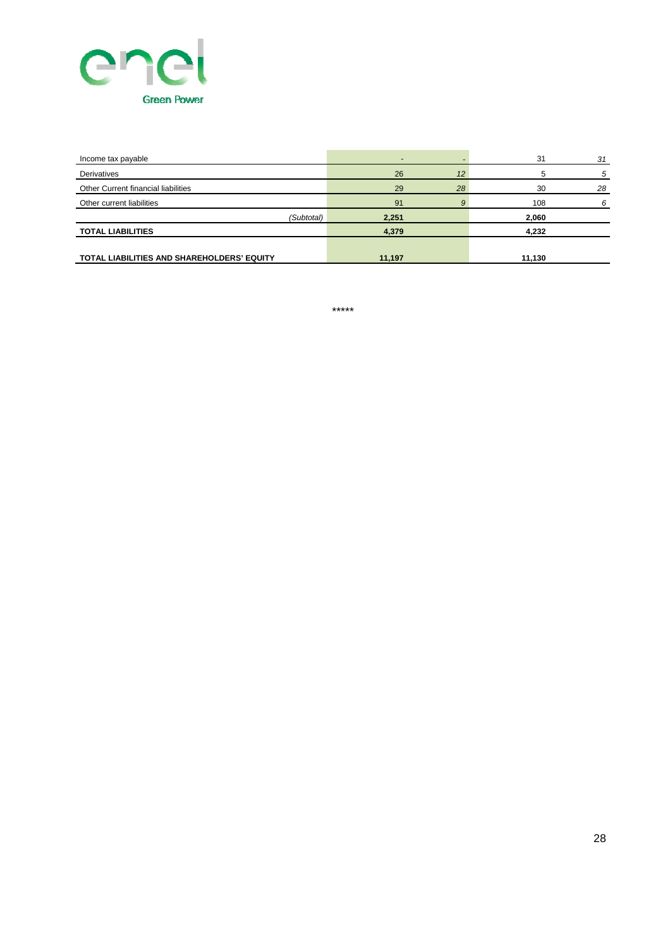

| Income tax payable                         |        |    | 31     | 31 |
|--------------------------------------------|--------|----|--------|----|
| Derivatives                                | 26     | 12 |        | 5  |
| Other Current financial liabilities        | 29     | 28 | 30     | 28 |
| Other current liabilities                  | 91     |    | 108    |    |
| (Subtotal)                                 | 2,251  |    | 2,060  |    |
| <b>TOTAL LIABILITIES</b>                   | 4,379  |    | 4,232  |    |
|                                            |        |    |        |    |
| TOTAL LIABILITIES AND SHAREHOLDERS' EQUITY | 11,197 |    | 11,130 |    |